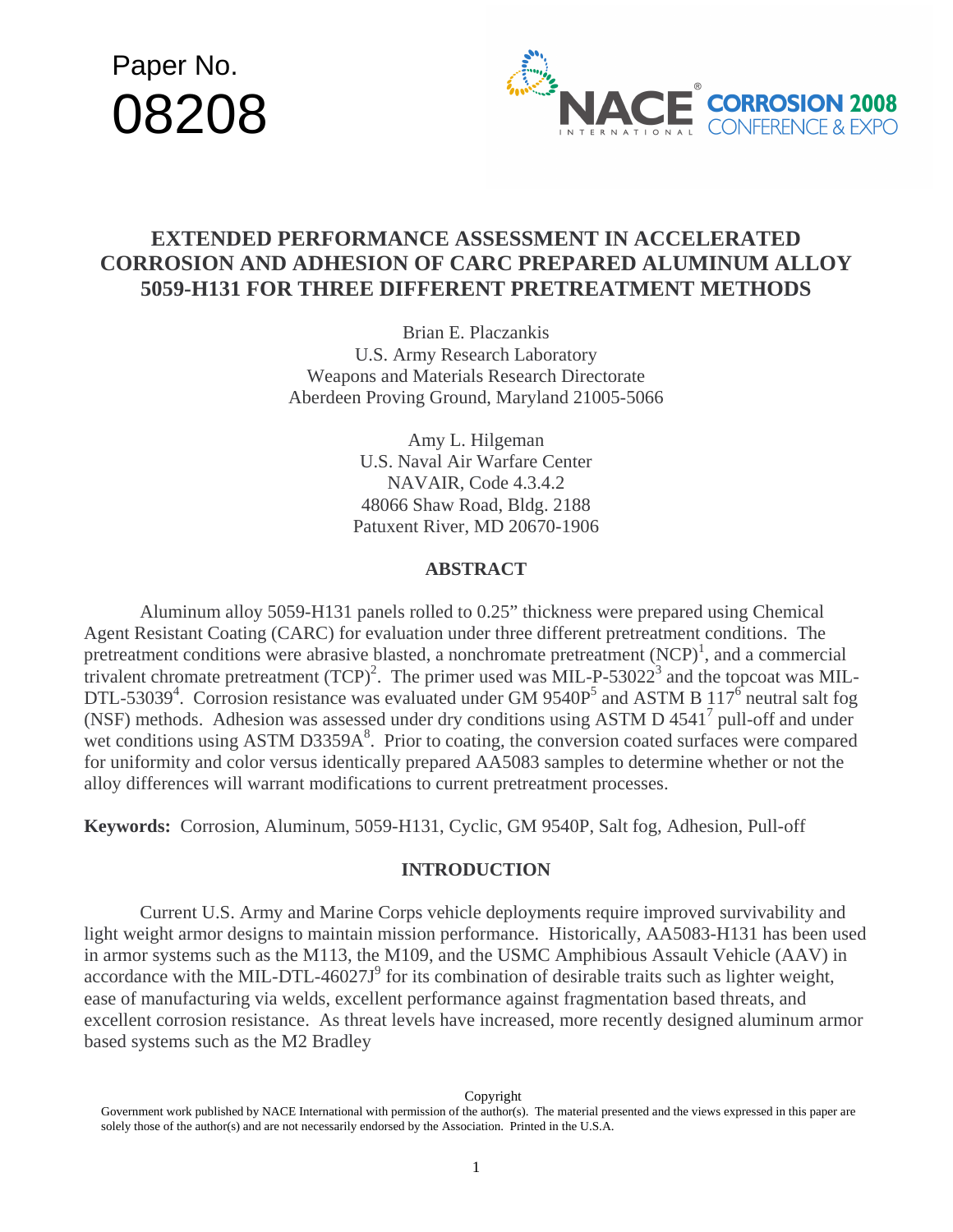# Paper No. 08208



# **EXTENDED PERFORMANCE ASSESSMENT IN ACCELERATED CORROSION AND ADHESION OF CARC PREPARED ALUMINUM ALLOY 5059-H131 FOR THREE DIFFERENT PRETREATMENT METHODS**

Brian E. Placzankis U.S. Army Research Laboratory Weapons and Materials Research Directorate Aberdeen Proving Ground, Maryland 21005-5066

> Amy L. Hilgeman U.S. Naval Air Warfare Center NAVAIR, Code 4.3.4.2 48066 Shaw Road, Bldg. 2188 Patuxent River, MD 20670-1906

#### **ABSTRACT**

 Aluminum alloy 5059-H131 panels rolled to 0.25" thickness were prepared using Chemical Agent Resistant Coating (CARC) for evaluation under three different pretreatment conditions. The pretreatment conditions were abrasive blasted, a nonchromate pretreatment  $(NCP)^1$ , and a commercial trivalent chromate pretreatment  $(TCP)^2$ . The primer used was MIL-P-53022<sup>3</sup> and the topcoat was MIL-DTL-53039<sup>4</sup>. Corrosion resistance was evaluated under GM 9540P<sup>5</sup> and ASTM B 117<sup>6</sup> neutral salt fog (NSF) methods. Adhesion was assessed under dry conditions using ASTM D 4541<sup>7</sup> pull-off and under wet conditions using ASTM D3359A<sup>8</sup>. Prior to coating, the conversion coated surfaces were compared for uniformity and color versus identically prepared AA5083 samples to determine whether or not the alloy differences will warrant modifications to current pretreatment processes.

**Keywords:** Corrosion, Aluminum, 5059-H131, Cyclic, GM 9540P, Salt fog, Adhesion, Pull-off

#### **INTRODUCTION**

Current U.S. Army and Marine Corps vehicle deployments require improved survivability and light weight armor designs to maintain mission performance. Historically, AA5083-H131 has been used in armor systems such as the M113, the M109, and the USMC Amphibious Assault Vehicle (AAV) in accordance with the MIL-DTL-46027J<sup>9</sup> for its combination of desirable traits such as lighter weight, ease of manufacturing via welds, excellent performance against fragmentation based threats, and excellent corrosion resistance. As threat levels have increased, more recently designed aluminum armor based systems such as the M2 Bradley

Copyright

Government work published by NACE International with permission of the author(s). The material presented and the views expressed in this paper are solely those of the author(s) and are not necessarily endorsed by the Association. Printed in the U.S.A.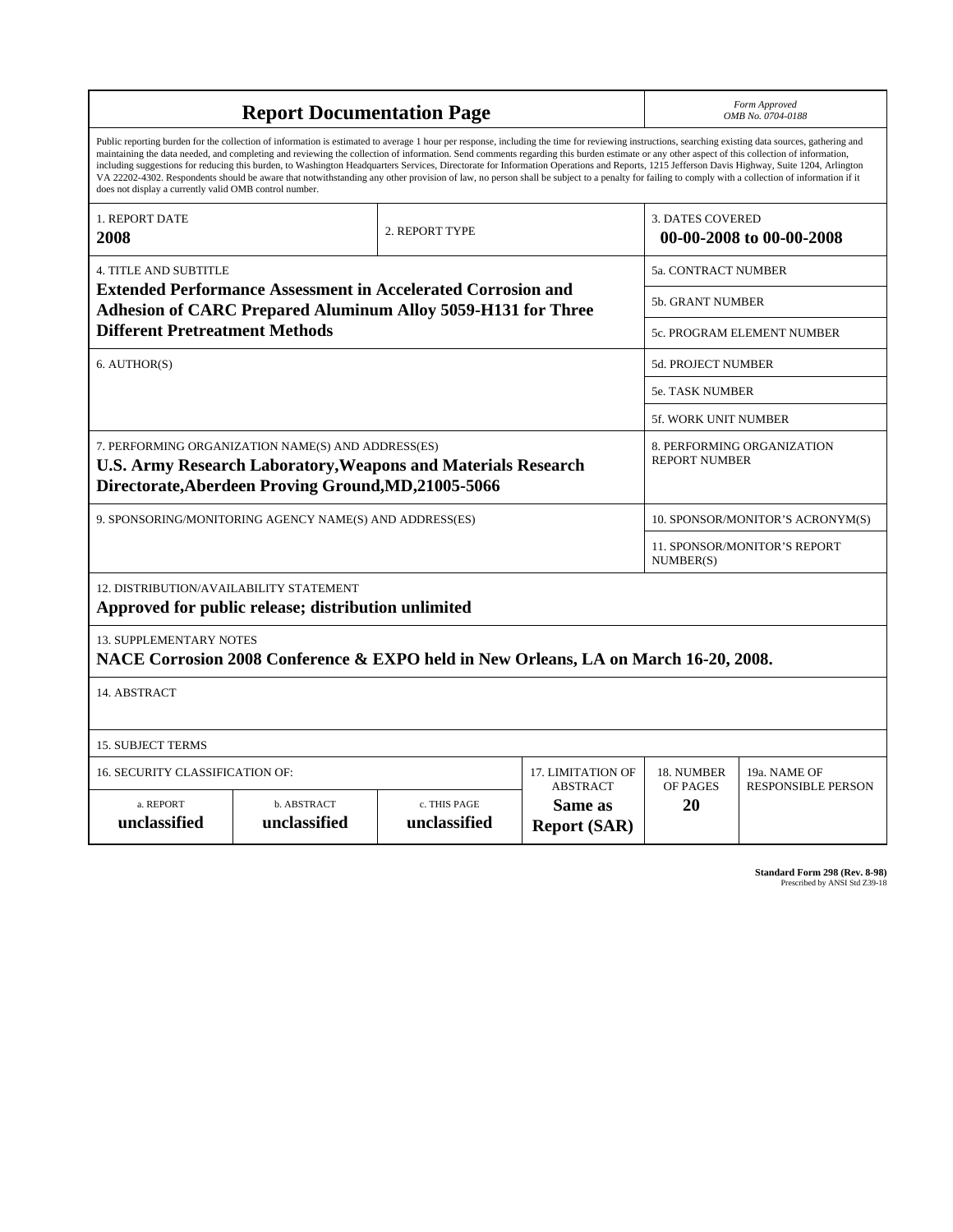| <b>Report Documentation Page</b>                                                                                                                                                                                                                                                                                                                                                                                                                                                                                                                                                                                                                                                                                                                                                                                                                                   |                                                                                                                                                                                    |                              |                                                     |                                           | Form Approved<br>OMB No. 0704-0188 |  |
|--------------------------------------------------------------------------------------------------------------------------------------------------------------------------------------------------------------------------------------------------------------------------------------------------------------------------------------------------------------------------------------------------------------------------------------------------------------------------------------------------------------------------------------------------------------------------------------------------------------------------------------------------------------------------------------------------------------------------------------------------------------------------------------------------------------------------------------------------------------------|------------------------------------------------------------------------------------------------------------------------------------------------------------------------------------|------------------------------|-----------------------------------------------------|-------------------------------------------|------------------------------------|--|
| Public reporting burden for the collection of information is estimated to average 1 hour per response, including the time for reviewing instructions, searching existing data sources, gathering and<br>maintaining the data needed, and completing and reviewing the collection of information. Send comments regarding this burden estimate or any other aspect of this collection of information,<br>including suggestions for reducing this burden, to Washington Headquarters Services, Directorate for Information Operations and Reports, 1215 Jefferson Davis Highway, Suite 1204, Arlington<br>VA 22202-4302. Respondents should be aware that notwithstanding any other provision of law, no person shall be subject to a penalty for failing to comply with a collection of information if it<br>does not display a currently valid OMB control number. |                                                                                                                                                                                    |                              |                                                     |                                           |                                    |  |
| 1. REPORT DATE<br>2008                                                                                                                                                                                                                                                                                                                                                                                                                                                                                                                                                                                                                                                                                                                                                                                                                                             |                                                                                                                                                                                    |                              | <b>3. DATES COVERED</b><br>00-00-2008 to 00-00-2008 |                                           |                                    |  |
| <b>4. TITLE AND SUBTITLE</b>                                                                                                                                                                                                                                                                                                                                                                                                                                                                                                                                                                                                                                                                                                                                                                                                                                       |                                                                                                                                                                                    |                              |                                                     | <b>5a. CONTRACT NUMBER</b>                |                                    |  |
|                                                                                                                                                                                                                                                                                                                                                                                                                                                                                                                                                                                                                                                                                                                                                                                                                                                                    | <b>Extended Performance Assessment in Accelerated Corrosion and</b><br><b>Adhesion of CARC Prepared Aluminum Alloy 5059-H131 for Three</b>                                         |                              |                                                     | 5b. GRANT NUMBER                          |                                    |  |
| <b>Different Pretreatment Methods</b>                                                                                                                                                                                                                                                                                                                                                                                                                                                                                                                                                                                                                                                                                                                                                                                                                              |                                                                                                                                                                                    |                              |                                                     |                                           | 5c. PROGRAM ELEMENT NUMBER         |  |
| 6. AUTHOR(S)                                                                                                                                                                                                                                                                                                                                                                                                                                                                                                                                                                                                                                                                                                                                                                                                                                                       |                                                                                                                                                                                    |                              |                                                     | 5d. PROJECT NUMBER                        |                                    |  |
|                                                                                                                                                                                                                                                                                                                                                                                                                                                                                                                                                                                                                                                                                                                                                                                                                                                                    |                                                                                                                                                                                    |                              |                                                     | <b>5e. TASK NUMBER</b>                    |                                    |  |
|                                                                                                                                                                                                                                                                                                                                                                                                                                                                                                                                                                                                                                                                                                                                                                                                                                                                    |                                                                                                                                                                                    |                              |                                                     | <b>5f. WORK UNIT NUMBER</b>               |                                    |  |
|                                                                                                                                                                                                                                                                                                                                                                                                                                                                                                                                                                                                                                                                                                                                                                                                                                                                    | 7. PERFORMING ORGANIZATION NAME(S) AND ADDRESS(ES)<br><b>U.S. Army Research Laboratory, Weapons and Materials Research</b><br>Directorate, Aberdeen Proving Ground, MD, 21005-5066 |                              |                                                     | <b>REPORT NUMBER</b>                      | 8. PERFORMING ORGANIZATION         |  |
|                                                                                                                                                                                                                                                                                                                                                                                                                                                                                                                                                                                                                                                                                                                                                                                                                                                                    | 9. SPONSORING/MONITORING AGENCY NAME(S) AND ADDRESS(ES)                                                                                                                            |                              |                                                     | 10. SPONSOR/MONITOR'S ACRONYM(S)          |                                    |  |
|                                                                                                                                                                                                                                                                                                                                                                                                                                                                                                                                                                                                                                                                                                                                                                                                                                                                    |                                                                                                                                                                                    |                              |                                                     | 11. SPONSOR/MONITOR'S REPORT<br>NUMBER(S) |                                    |  |
| <b>12. DISTRIBUTION/AVAILABILITY STATEMENT</b>                                                                                                                                                                                                                                                                                                                                                                                                                                                                                                                                                                                                                                                                                                                                                                                                                     | Approved for public release; distribution unlimited                                                                                                                                |                              |                                                     |                                           |                                    |  |
| <b>13. SUPPLEMENTARY NOTES</b><br>NACE Corrosion 2008 Conference & EXPO held in New Orleans, LA on March 16-20, 2008.                                                                                                                                                                                                                                                                                                                                                                                                                                                                                                                                                                                                                                                                                                                                              |                                                                                                                                                                                    |                              |                                                     |                                           |                                    |  |
| 14. ABSTRACT                                                                                                                                                                                                                                                                                                                                                                                                                                                                                                                                                                                                                                                                                                                                                                                                                                                       |                                                                                                                                                                                    |                              |                                                     |                                           |                                    |  |
| <b>15. SUBJECT TERMS</b>                                                                                                                                                                                                                                                                                                                                                                                                                                                                                                                                                                                                                                                                                                                                                                                                                                           |                                                                                                                                                                                    |                              |                                                     |                                           |                                    |  |
| 16. SECURITY CLASSIFICATION OF:                                                                                                                                                                                                                                                                                                                                                                                                                                                                                                                                                                                                                                                                                                                                                                                                                                    |                                                                                                                                                                                    |                              | 17. LIMITATION OF                                   | 18. NUMBER                                | 19a. NAME OF                       |  |
| a. REPORT<br>unclassified                                                                                                                                                                                                                                                                                                                                                                                                                                                                                                                                                                                                                                                                                                                                                                                                                                          | b. ABSTRACT<br>unclassified                                                                                                                                                        | c. THIS PAGE<br>unclassified | <b>ABSTRACT</b><br>Same as<br><b>Report (SAR)</b>   | OF PAGES<br>20                            | <b>RESPONSIBLE PERSON</b>          |  |

**Standard Form 298 (Rev. 8-98)**<br>Prescribed by ANSI Std Z39-18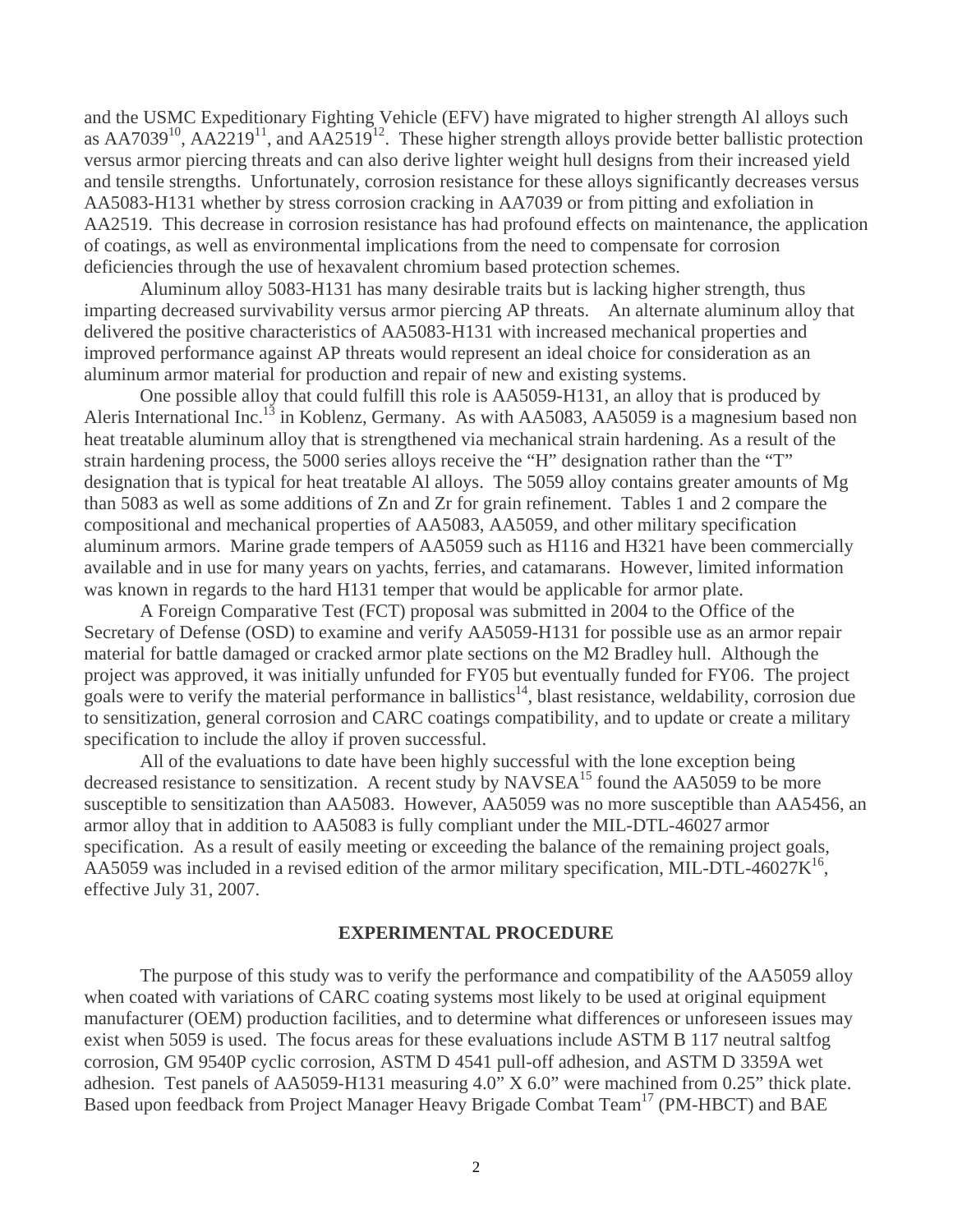and the USMC Expeditionary Fighting Vehicle (EFV) have migrated to higher strength Al alloys such as  $AA7039^{10}$ ,  $AA2219^{11}$ , and  $AA2519^{12}$ . These higher strength alloys provide better ballistic protection versus armor piercing threats and can also derive lighter weight hull designs from their increased yield and tensile strengths. Unfortunately, corrosion resistance for these alloys significantly decreases versus AA5083-H131 whether by stress corrosion cracking in AA7039 or from pitting and exfoliation in AA2519. This decrease in corrosion resistance has had profound effects on maintenance, the application of coatings, as well as environmental implications from the need to compensate for corrosion deficiencies through the use of hexavalent chromium based protection schemes.

 Aluminum alloy 5083-H131 has many desirable traits but is lacking higher strength, thus imparting decreased survivability versus armor piercing AP threats. An alternate aluminum alloy that delivered the positive characteristics of AA5083-H131 with increased mechanical properties and improved performance against AP threats would represent an ideal choice for consideration as an aluminum armor material for production and repair of new and existing systems.

 One possible alloy that could fulfill this role is AA5059-H131, an alloy that is produced by Aleris International Inc.<sup>13</sup> in Koblenz, Germany. As with AA5083, AA5059 is a magnesium based non heat treatable aluminum alloy that is strengthened via mechanical strain hardening. As a result of the strain hardening process, the 5000 series alloys receive the "H" designation rather than the "T" designation that is typical for heat treatable Al alloys. The 5059 alloy contains greater amounts of Mg than 5083 as well as some additions of Zn and Zr for grain refinement. Tables 1 and 2 compare the compositional and mechanical properties of AA5083, AA5059, and other military specification aluminum armors. Marine grade tempers of AA5059 such as H116 and H321 have been commercially available and in use for many years on yachts, ferries, and catamarans. However, limited information was known in regards to the hard H131 temper that would be applicable for armor plate.

 A Foreign Comparative Test (FCT) proposal was submitted in 2004 to the Office of the Secretary of Defense (OSD) to examine and verify AA5059-H131 for possible use as an armor repair material for battle damaged or cracked armor plate sections on the M2 Bradley hull. Although the project was approved, it was initially unfunded for FY05 but eventually funded for FY06. The project goals were to verify the material performance in ballistics<sup>14</sup>, blast resistance, weldability, corrosion due to sensitization, general corrosion and CARC coatings compatibility, and to update or create a military specification to include the alloy if proven successful.

 All of the evaluations to date have been highly successful with the lone exception being decreased resistance to sensitization. A recent study by  $NAVSEA<sup>15</sup>$  found the AA5059 to be more susceptible to sensitization than AA5083. However, AA5059 was no more susceptible than AA5456, an armor alloy that in addition to AA5083 is fully compliant under the MIL-DTL-46027 armor specification. As a result of easily meeting or exceeding the balance of the remaining project goals, AA5059 was included in a revised edition of the armor military specification, MIL-DTL-46027 $K^{16}$ , effective July 31, 2007.

#### **EXPERIMENTAL PROCEDURE**

 The purpose of this study was to verify the performance and compatibility of the AA5059 alloy when coated with variations of CARC coating systems most likely to be used at original equipment manufacturer (OEM) production facilities, and to determine what differences or unforeseen issues may exist when 5059 is used. The focus areas for these evaluations include ASTM B 117 neutral saltfog corrosion, GM 9540P cyclic corrosion, ASTM D 4541 pull-off adhesion, and ASTM D 3359A wet adhesion. Test panels of AA5059-H131 measuring 4.0" X 6.0" were machined from 0.25" thick plate. Based upon feedback from Project Manager Heavy Brigade Combat Team<sup>17</sup> (PM-HBCT) and BAE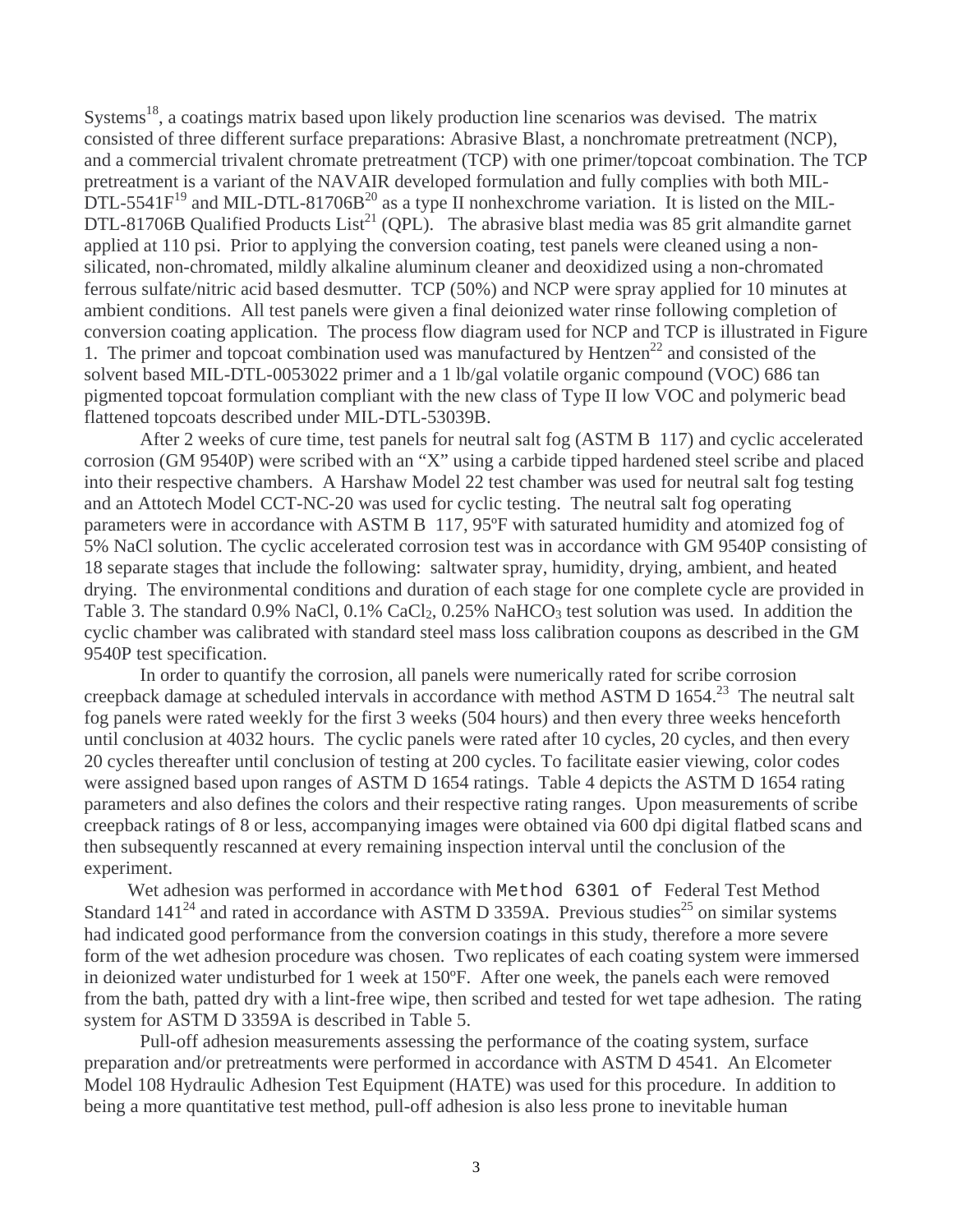Systems<sup>18</sup>, a coatings matrix based upon likely production line scenarios was devised. The matrix consisted of three different surface preparations: Abrasive Blast, a nonchromate pretreatment (NCP), and a commercial trivalent chromate pretreatment (TCP) with one primer/topcoat combination. The TCP pretreatment is a variant of the NAVAIR developed formulation and fully complies with both MIL- $\rm DTL$ -5541 $\rm F^{19}$  and MIL-DTL-81706B<sup>20</sup> as a type II nonhexchrome variation. It is listed on the MIL-DTL-81706B Qualified Products List<sup>21</sup> (QPL). The abrasive blast media was 85 grit almandite garnet applied at 110 psi. Prior to applying the conversion coating, test panels were cleaned using a nonsilicated, non-chromated, mildly alkaline aluminum cleaner and deoxidized using a non-chromated ferrous sulfate/nitric acid based desmutter. TCP (50%) and NCP were spray applied for 10 minutes at ambient conditions. All test panels were given a final deionized water rinse following completion of conversion coating application. The process flow diagram used for NCP and TCP is illustrated in Figure 1. The primer and topcoat combination used was manufactured by Hentzen<sup>22</sup> and consisted of the solvent based MIL-DTL-0053022 primer and a 1 lb/gal volatile organic compound (VOC) 686 tan pigmented topcoat formulation compliant with the new class of Type II low VOC and polymeric bead flattened topcoats described under MIL-DTL-53039B.

 After 2 weeks of cure time, test panels for neutral salt fog (ASTM B 117) and cyclic accelerated corrosion (GM 9540P) were scribed with an "X" using a carbide tipped hardened steel scribe and placed into their respective chambers. A Harshaw Model 22 test chamber was used for neutral salt fog testing and an Attotech Model CCT-NC-20 was used for cyclic testing. The neutral salt fog operating parameters were in accordance with ASTM B 117, 95ºF with saturated humidity and atomized fog of 5% NaCl solution. The cyclic accelerated corrosion test was in accordance with GM 9540P consisting of 18 separate stages that include the following: saltwater spray, humidity, drying, ambient, and heated drying. The environmental conditions and duration of each stage for one complete cycle are provided in Table 3. The standard 0.9% NaCl,  $0.1\%$  CaCl<sub>2</sub>,  $0.25\%$  NaHCO<sub>3</sub> test solution was used. In addition the cyclic chamber was calibrated with standard steel mass loss calibration coupons as described in the GM 9540P test specification.

 In order to quantify the corrosion, all panels were numerically rated for scribe corrosion creepback damage at scheduled intervals in accordance with method ASTM D 1654.<sup>23</sup> The neutral salt fog panels were rated weekly for the first 3 weeks (504 hours) and then every three weeks henceforth until conclusion at 4032 hours. The cyclic panels were rated after 10 cycles, 20 cycles, and then every 20 cycles thereafter until conclusion of testing at 200 cycles. To facilitate easier viewing, color codes were assigned based upon ranges of ASTM D 1654 ratings. Table 4 depicts the ASTM D 1654 rating parameters and also defines the colors and their respective rating ranges. Upon measurements of scribe creepback ratings of 8 or less, accompanying images were obtained via 600 dpi digital flatbed scans and then subsequently rescanned at every remaining inspection interval until the conclusion of the experiment.

 Wet adhesion was performed in accordance with Method 6301 of Federal Test Method Standard  $141^{24}$  and rated in accordance with ASTM D 3359A. Previous studies<sup>25</sup> on similar systems had indicated good performance from the conversion coatings in this study, therefore a more severe form of the wet adhesion procedure was chosen. Two replicates of each coating system were immersed in deionized water undisturbed for 1 week at 150ºF. After one week, the panels each were removed from the bath, patted dry with a lint-free wipe, then scribed and tested for wet tape adhesion. The rating system for ASTM D 3359A is described in Table 5.

Pull-off adhesion measurements assessing the performance of the coating system, surface preparation and/or pretreatments were performed in accordance with ASTM D 4541. An Elcometer Model 108 Hydraulic Adhesion Test Equipment (HATE) was used for this procedure. In addition to being a more quantitative test method, pull-off adhesion is also less prone to inevitable human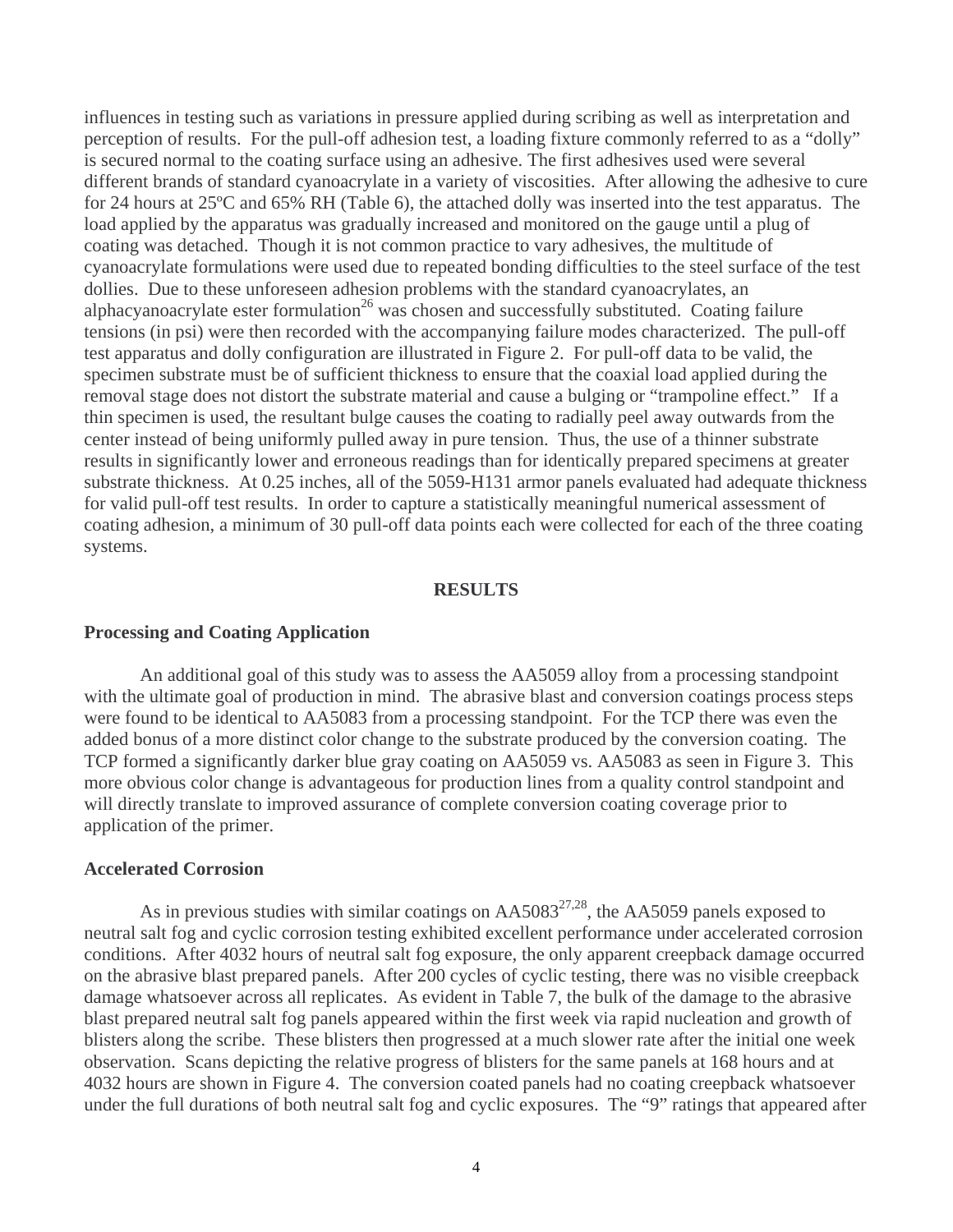influences in testing such as variations in pressure applied during scribing as well as interpretation and perception of results. For the pull-off adhesion test, a loading fixture commonly referred to as a "dolly" is secured normal to the coating surface using an adhesive. The first adhesives used were several different brands of standard cyanoacrylate in a variety of viscosities. After allowing the adhesive to cure for 24 hours at 25ºC and 65% RH (Table 6), the attached dolly was inserted into the test apparatus. The load applied by the apparatus was gradually increased and monitored on the gauge until a plug of coating was detached. Though it is not common practice to vary adhesives, the multitude of cyanoacrylate formulations were used due to repeated bonding difficulties to the steel surface of the test dollies. Due to these unforeseen adhesion problems with the standard cyanoacrylates, an alphacyanoacrylate ester formulation<sup>26</sup> was chosen and successfully substituted. Coating failure tensions (in psi) were then recorded with the accompanying failure modes characterized. The pull-off test apparatus and dolly configuration are illustrated in Figure 2. For pull-off data to be valid, the specimen substrate must be of sufficient thickness to ensure that the coaxial load applied during the removal stage does not distort the substrate material and cause a bulging or "trampoline effect." If a thin specimen is used, the resultant bulge causes the coating to radially peel away outwards from the center instead of being uniformly pulled away in pure tension. Thus, the use of a thinner substrate results in significantly lower and erroneous readings than for identically prepared specimens at greater substrate thickness. At 0.25 inches, all of the 5059-H131 armor panels evaluated had adequate thickness for valid pull-off test results. In order to capture a statistically meaningful numerical assessment of coating adhesion, a minimum of 30 pull-off data points each were collected for each of the three coating systems.

#### **RESULTS**

#### **Processing and Coating Application**

 An additional goal of this study was to assess the AA5059 alloy from a processing standpoint with the ultimate goal of production in mind. The abrasive blast and conversion coatings process steps were found to be identical to AA5083 from a processing standpoint. For the TCP there was even the added bonus of a more distinct color change to the substrate produced by the conversion coating. The TCP formed a significantly darker blue gray coating on AA5059 vs. AA5083 as seen in Figure 3. This more obvious color change is advantageous for production lines from a quality control standpoint and will directly translate to improved assurance of complete conversion coating coverage prior to application of the primer.

#### **Accelerated Corrosion**

As in previous studies with similar coatings on  $AA5083^{27,28}$ , the AA5059 panels exposed to neutral salt fog and cyclic corrosion testing exhibited excellent performance under accelerated corrosion conditions. After 4032 hours of neutral salt fog exposure, the only apparent creepback damage occurred on the abrasive blast prepared panels. After 200 cycles of cyclic testing, there was no visible creepback damage whatsoever across all replicates. As evident in Table 7, the bulk of the damage to the abrasive blast prepared neutral salt fog panels appeared within the first week via rapid nucleation and growth of blisters along the scribe. These blisters then progressed at a much slower rate after the initial one week observation. Scans depicting the relative progress of blisters for the same panels at 168 hours and at 4032 hours are shown in Figure 4. The conversion coated panels had no coating creepback whatsoever under the full durations of both neutral salt fog and cyclic exposures. The "9" ratings that appeared after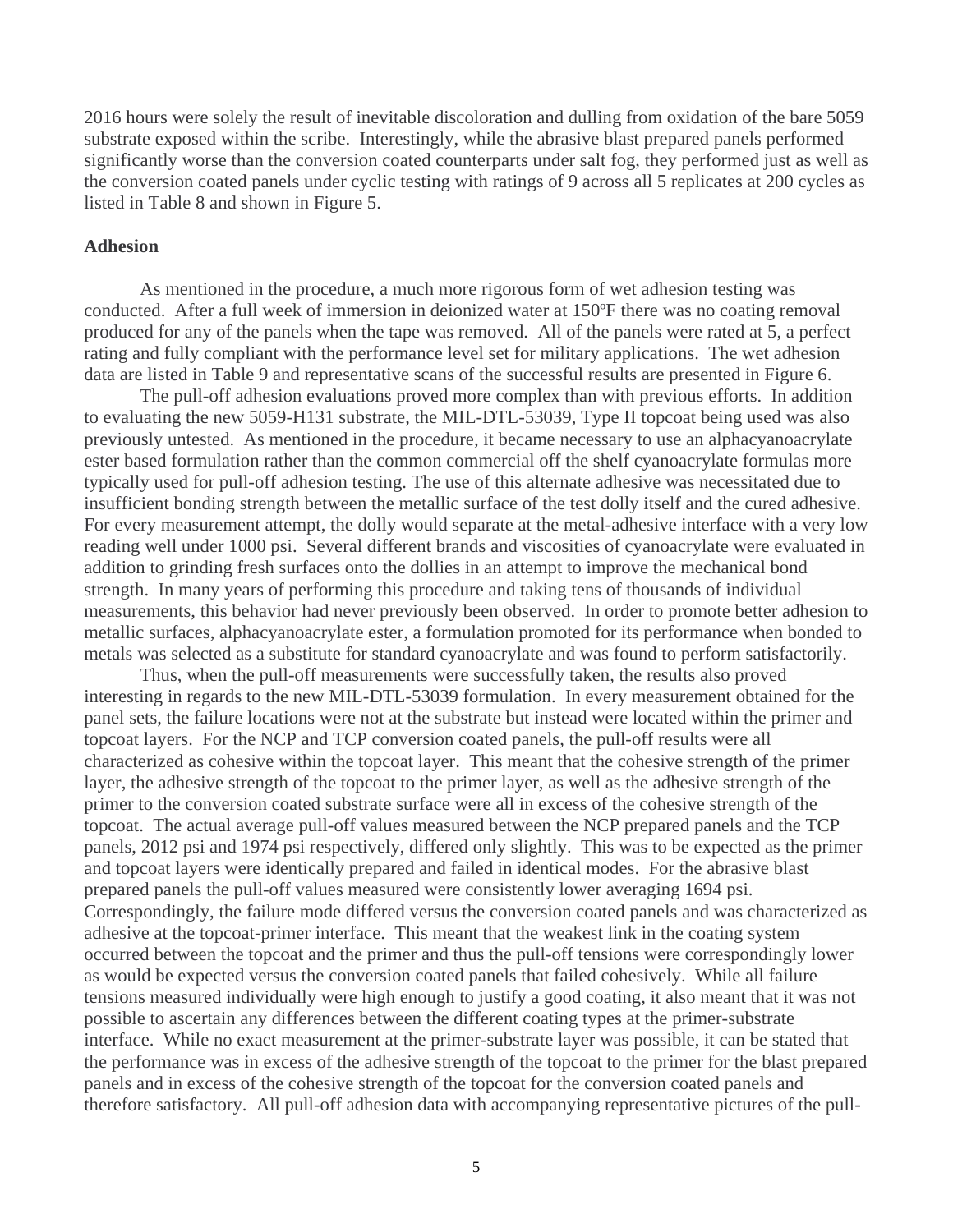2016 hours were solely the result of inevitable discoloration and dulling from oxidation of the bare 5059 substrate exposed within the scribe. Interestingly, while the abrasive blast prepared panels performed significantly worse than the conversion coated counterparts under salt fog, they performed just as well as the conversion coated panels under cyclic testing with ratings of 9 across all 5 replicates at 200 cycles as listed in Table 8 and shown in Figure 5.

#### **Adhesion**

 As mentioned in the procedure, a much more rigorous form of wet adhesion testing was conducted. After a full week of immersion in deionized water at 150ºF there was no coating removal produced for any of the panels when the tape was removed. All of the panels were rated at 5, a perfect rating and fully compliant with the performance level set for military applications. The wet adhesion data are listed in Table 9 and representative scans of the successful results are presented in Figure 6.

 The pull-off adhesion evaluations proved more complex than with previous efforts. In addition to evaluating the new 5059-H131 substrate, the MIL-DTL-53039, Type II topcoat being used was also previously untested. As mentioned in the procedure, it became necessary to use an alphacyanoacrylate ester based formulation rather than the common commercial off the shelf cyanoacrylate formulas more typically used for pull-off adhesion testing. The use of this alternate adhesive was necessitated due to insufficient bonding strength between the metallic surface of the test dolly itself and the cured adhesive. For every measurement attempt, the dolly would separate at the metal-adhesive interface with a very low reading well under 1000 psi. Several different brands and viscosities of cyanoacrylate were evaluated in addition to grinding fresh surfaces onto the dollies in an attempt to improve the mechanical bond strength. In many years of performing this procedure and taking tens of thousands of individual measurements, this behavior had never previously been observed. In order to promote better adhesion to metallic surfaces, alphacyanoacrylate ester, a formulation promoted for its performance when bonded to metals was selected as a substitute for standard cyanoacrylate and was found to perform satisfactorily.

 Thus, when the pull-off measurements were successfully taken, the results also proved interesting in regards to the new MIL-DTL-53039 formulation. In every measurement obtained for the panel sets, the failure locations were not at the substrate but instead were located within the primer and topcoat layers. For the NCP and TCP conversion coated panels, the pull-off results were all characterized as cohesive within the topcoat layer. This meant that the cohesive strength of the primer layer, the adhesive strength of the topcoat to the primer layer, as well as the adhesive strength of the primer to the conversion coated substrate surface were all in excess of the cohesive strength of the topcoat. The actual average pull-off values measured between the NCP prepared panels and the TCP panels, 2012 psi and 1974 psi respectively, differed only slightly. This was to be expected as the primer and topcoat layers were identically prepared and failed in identical modes. For the abrasive blast prepared panels the pull-off values measured were consistently lower averaging 1694 psi. Correspondingly, the failure mode differed versus the conversion coated panels and was characterized as adhesive at the topcoat-primer interface. This meant that the weakest link in the coating system occurred between the topcoat and the primer and thus the pull-off tensions were correspondingly lower as would be expected versus the conversion coated panels that failed cohesively. While all failure tensions measured individually were high enough to justify a good coating, it also meant that it was not possible to ascertain any differences between the different coating types at the primer-substrate interface. While no exact measurement at the primer-substrate layer was possible, it can be stated that the performance was in excess of the adhesive strength of the topcoat to the primer for the blast prepared panels and in excess of the cohesive strength of the topcoat for the conversion coated panels and therefore satisfactory. All pull-off adhesion data with accompanying representative pictures of the pull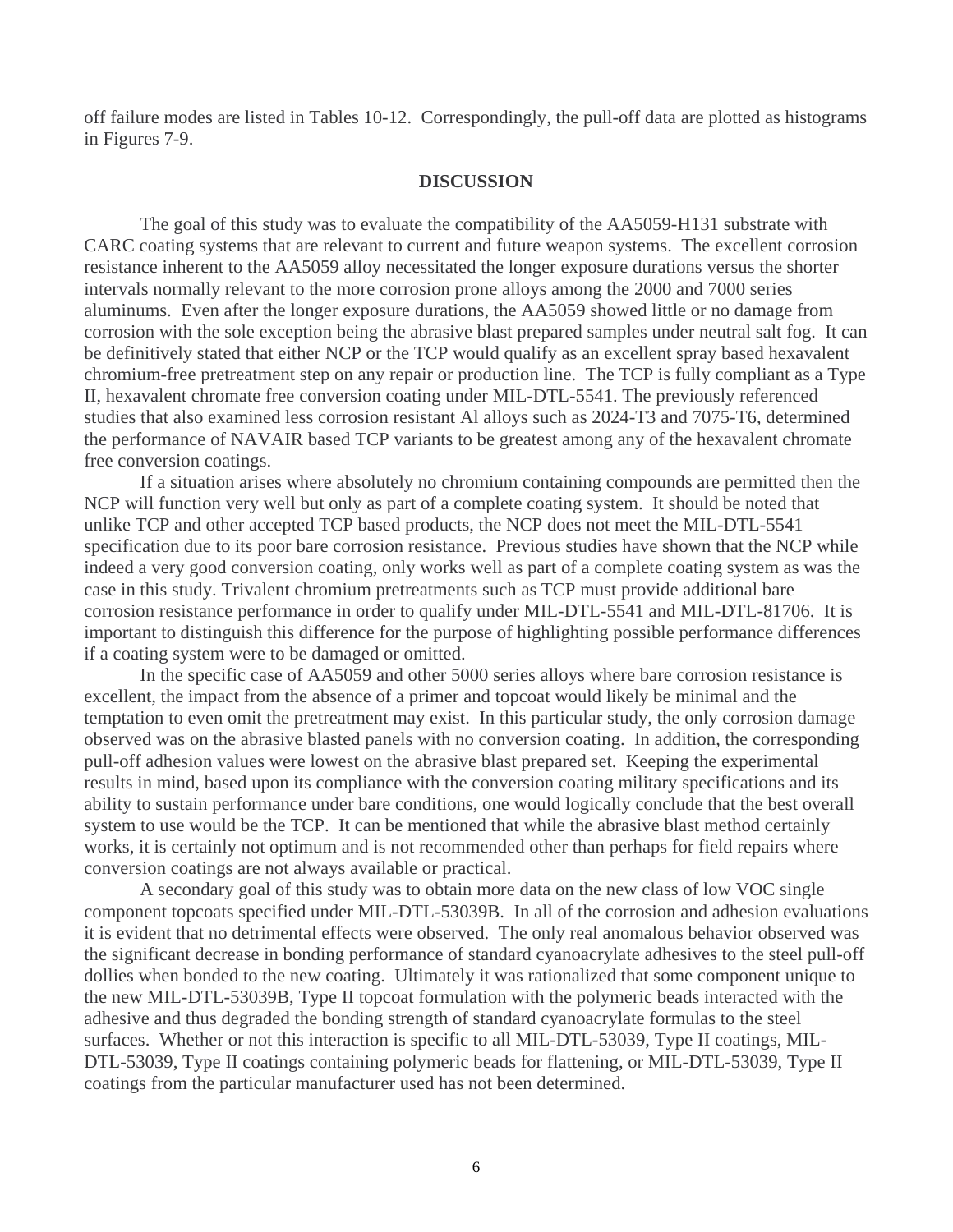off failure modes are listed in Tables 10-12. Correspondingly, the pull-off data are plotted as histograms in Figures 7-9.

#### **DISCUSSION**

 The goal of this study was to evaluate the compatibility of the AA5059-H131 substrate with CARC coating systems that are relevant to current and future weapon systems. The excellent corrosion resistance inherent to the AA5059 alloy necessitated the longer exposure durations versus the shorter intervals normally relevant to the more corrosion prone alloys among the 2000 and 7000 series aluminums. Even after the longer exposure durations, the AA5059 showed little or no damage from corrosion with the sole exception being the abrasive blast prepared samples under neutral salt fog. It can be definitively stated that either NCP or the TCP would qualify as an excellent spray based hexavalent chromium-free pretreatment step on any repair or production line. The TCP is fully compliant as a Type II, hexavalent chromate free conversion coating under MIL-DTL-5541. The previously referenced studies that also examined less corrosion resistant Al alloys such as 2024-T3 and 7075-T6, determined the performance of NAVAIR based TCP variants to be greatest among any of the hexavalent chromate free conversion coatings.

 If a situation arises where absolutely no chromium containing compounds are permitted then the NCP will function very well but only as part of a complete coating system. It should be noted that unlike TCP and other accepted TCP based products, the NCP does not meet the MIL-DTL-5541 specification due to its poor bare corrosion resistance. Previous studies have shown that the NCP while indeed a very good conversion coating, only works well as part of a complete coating system as was the case in this study. Trivalent chromium pretreatments such as TCP must provide additional bare corrosion resistance performance in order to qualify under MIL-DTL-5541 and MIL-DTL-81706. It is important to distinguish this difference for the purpose of highlighting possible performance differences if a coating system were to be damaged or omitted.

 In the specific case of AA5059 and other 5000 series alloys where bare corrosion resistance is excellent, the impact from the absence of a primer and topcoat would likely be minimal and the temptation to even omit the pretreatment may exist. In this particular study, the only corrosion damage observed was on the abrasive blasted panels with no conversion coating. In addition, the corresponding pull-off adhesion values were lowest on the abrasive blast prepared set. Keeping the experimental results in mind, based upon its compliance with the conversion coating military specifications and its ability to sustain performance under bare conditions, one would logically conclude that the best overall system to use would be the TCP. It can be mentioned that while the abrasive blast method certainly works, it is certainly not optimum and is not recommended other than perhaps for field repairs where conversion coatings are not always available or practical.

 A secondary goal of this study was to obtain more data on the new class of low VOC single component topcoats specified under MIL-DTL-53039B. In all of the corrosion and adhesion evaluations it is evident that no detrimental effects were observed. The only real anomalous behavior observed was the significant decrease in bonding performance of standard cyanoacrylate adhesives to the steel pull-off dollies when bonded to the new coating. Ultimately it was rationalized that some component unique to the new MIL-DTL-53039B, Type II topcoat formulation with the polymeric beads interacted with the adhesive and thus degraded the bonding strength of standard cyanoacrylate formulas to the steel surfaces. Whether or not this interaction is specific to all MIL-DTL-53039, Type II coatings, MIL-DTL-53039, Type II coatings containing polymeric beads for flattening, or MIL-DTL-53039, Type II coatings from the particular manufacturer used has not been determined.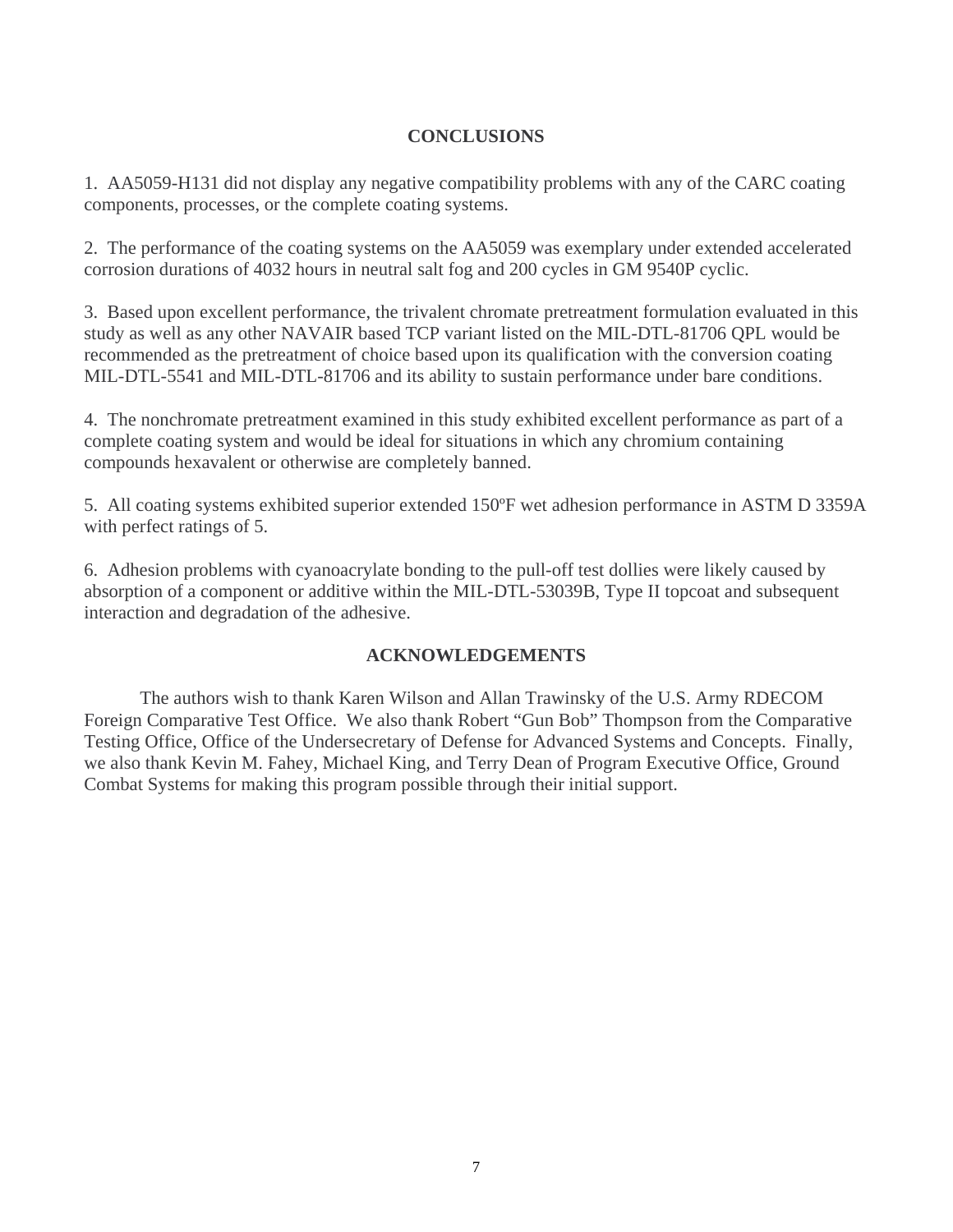# **CONCLUSIONS**

1. AA5059-H131 did not display any negative compatibility problems with any of the CARC coating components, processes, or the complete coating systems.

2. The performance of the coating systems on the AA5059 was exemplary under extended accelerated corrosion durations of 4032 hours in neutral salt fog and 200 cycles in GM 9540P cyclic.

3. Based upon excellent performance, the trivalent chromate pretreatment formulation evaluated in this study as well as any other NAVAIR based TCP variant listed on the MIL-DTL-81706 QPL would be recommended as the pretreatment of choice based upon its qualification with the conversion coating MIL-DTL-5541 and MIL-DTL-81706 and its ability to sustain performance under bare conditions.

4. The nonchromate pretreatment examined in this study exhibited excellent performance as part of a complete coating system and would be ideal for situations in which any chromium containing compounds hexavalent or otherwise are completely banned.

5. All coating systems exhibited superior extended 150ºF wet adhesion performance in ASTM D 3359A with perfect ratings of 5.

6. Adhesion problems with cyanoacrylate bonding to the pull-off test dollies were likely caused by absorption of a component or additive within the MIL-DTL-53039B, Type II topcoat and subsequent interaction and degradation of the adhesive.

# **ACKNOWLEDGEMENTS**

 The authors wish to thank Karen Wilson and Allan Trawinsky of the U.S. Army RDECOM Foreign Comparative Test Office. We also thank Robert "Gun Bob" Thompson from the Comparative Testing Office, Office of the Undersecretary of Defense for Advanced Systems and Concepts. Finally, we also thank Kevin M. Fahey, Michael King, and Terry Dean of Program Executive Office, Ground Combat Systems for making this program possible through their initial support.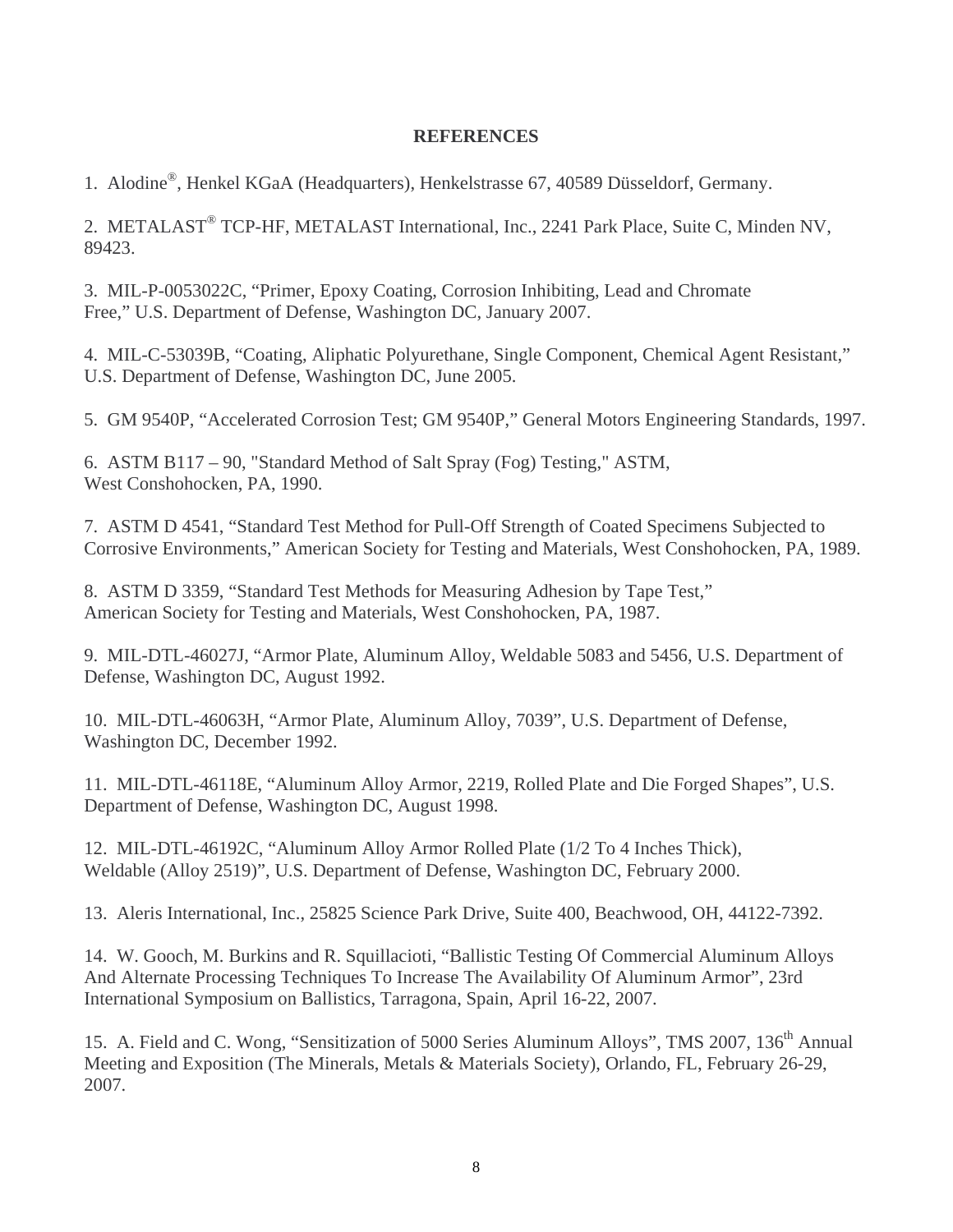## **REFERENCES**

1. Alodine® , Henkel KGaA (Headquarters), Henkelstrasse 67, 40589 Düsseldorf, Germany.

2. METALAST<sup>®</sup> TCP-HF, METALAST International, Inc., 2241 Park Place, Suite C, Minden NV, 89423.

3. MIL-P-0053022C, "Primer, Epoxy Coating, Corrosion Inhibiting, Lead and Chromate Free," U.S. Department of Defense, Washington DC, January 2007.

4. MIL-C-53039B, "Coating, Aliphatic Polyurethane, Single Component, Chemical Agent Resistant," U.S. Department of Defense, Washington DC, June 2005.

5. GM 9540P, "Accelerated Corrosion Test; GM 9540P," General Motors Engineering Standards, 1997.

6. ASTM B117 – 90, "Standard Method of Salt Spray (Fog) Testing," ASTM, West Conshohocken, PA, 1990.

7. ASTM D 4541, "Standard Test Method for Pull-Off Strength of Coated Specimens Subjected to Corrosive Environments," American Society for Testing and Materials, West Conshohocken, PA, 1989.

8. ASTM D 3359, "Standard Test Methods for Measuring Adhesion by Tape Test," American Society for Testing and Materials, West Conshohocken, PA, 1987.

9. MIL-DTL-46027J, "Armor Plate, Aluminum Alloy, Weldable 5083 and 5456, U.S. Department of Defense, Washington DC, August 1992.

10. MIL-DTL-46063H, "Armor Plate, Aluminum Alloy, 7039", U.S. Department of Defense, Washington DC, December 1992.

11. MIL-DTL-46118E, "Aluminum Alloy Armor, 2219, Rolled Plate and Die Forged Shapes", U.S. Department of Defense, Washington DC, August 1998.

12. MIL-DTL-46192C, "Aluminum Alloy Armor Rolled Plate (1/2 To 4 Inches Thick), Weldable (Alloy 2519)", U.S. Department of Defense, Washington DC, February 2000.

13. Aleris International, Inc., 25825 Science Park Drive, Suite 400, Beachwood, OH, 44122-7392.

14. W. Gooch, M. Burkins and R. Squillacioti, "Ballistic Testing Of Commercial Aluminum Alloys And Alternate Processing Techniques To Increase The Availability Of Aluminum Armor", 23rd International Symposium on Ballistics, Tarragona, Spain, April 16-22, 2007.

15. A. Field and C. Wong, "Sensitization of 5000 Series Aluminum Alloys", TMS 2007, 136<sup>th</sup> Annual Meeting and Exposition (The Minerals, Metals & Materials Society), Orlando, FL, February 26-29, 2007.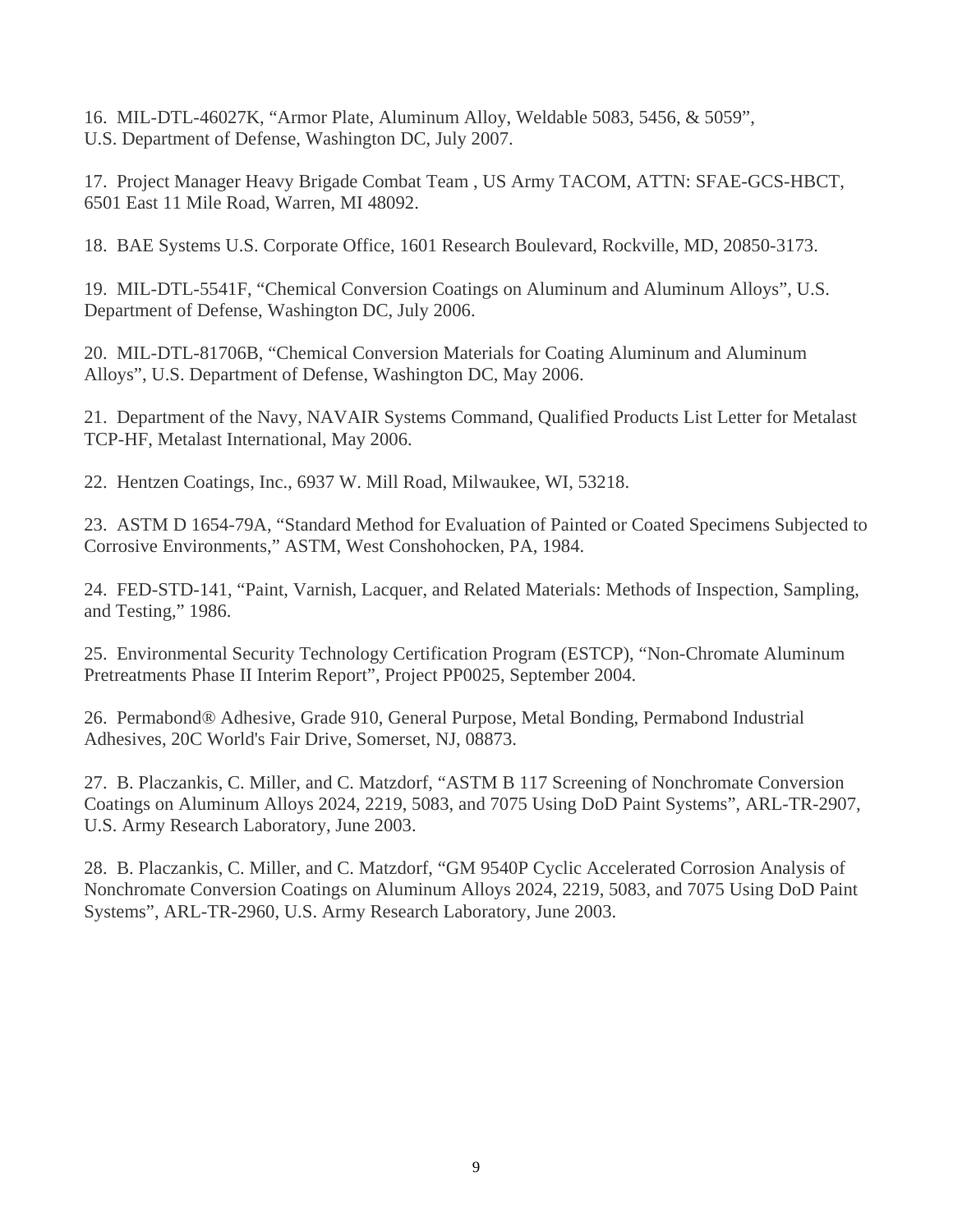16. MIL-DTL-46027K, "Armor Plate, Aluminum Alloy, Weldable 5083, 5456, & 5059", U.S. Department of Defense, Washington DC, July 2007.

17. Project Manager Heavy Brigade Combat Team , US Army TACOM, ATTN: SFAE-GCS-HBCT, 6501 East 11 Mile Road, Warren, MI 48092.

18. BAE Systems U.S. Corporate Office, 1601 Research Boulevard, Rockville, MD, 20850-3173.

19. MIL-DTL-5541F, "Chemical Conversion Coatings on Aluminum and Aluminum Alloys", U.S. Department of Defense, Washington DC, July 2006.

20. MIL-DTL-81706B, "Chemical Conversion Materials for Coating Aluminum and Aluminum Alloys", U.S. Department of Defense, Washington DC, May 2006.

21. Department of the Navy, NAVAIR Systems Command, Qualified Products List Letter for Metalast TCP-HF, Metalast International, May 2006.

22. Hentzen Coatings, Inc., 6937 W. Mill Road, Milwaukee, WI, 53218.

23. ASTM D 1654-79A, "Standard Method for Evaluation of Painted or Coated Specimens Subjected to Corrosive Environments," ASTM, West Conshohocken, PA, 1984.

24. FED-STD-141, "Paint, Varnish, Lacquer, and Related Materials: Methods of Inspection, Sampling, and Testing," 1986.

25. Environmental Security Technology Certification Program (ESTCP), "Non-Chromate Aluminum Pretreatments Phase II Interim Report", Project PP0025, September 2004.

26. Permabond® Adhesive, Grade 910, General Purpose, Metal Bonding, Permabond Industrial Adhesives, 20C World's Fair Drive, Somerset, NJ, 08873.

27. B. Placzankis, C. Miller, and C. Matzdorf, "ASTM B 117 Screening of Nonchromate Conversion Coatings on Aluminum Alloys 2024, 2219, 5083, and 7075 Using DoD Paint Systems", ARL-TR-2907, U.S. Army Research Laboratory, June 2003.

28. B. Placzankis, C. Miller, and C. Matzdorf, "GM 9540P Cyclic Accelerated Corrosion Analysis of Nonchromate Conversion Coatings on Aluminum Alloys 2024, 2219, 5083, and 7075 Using DoD Paint Systems", ARL-TR-2960, U.S. Army Research Laboratory, June 2003.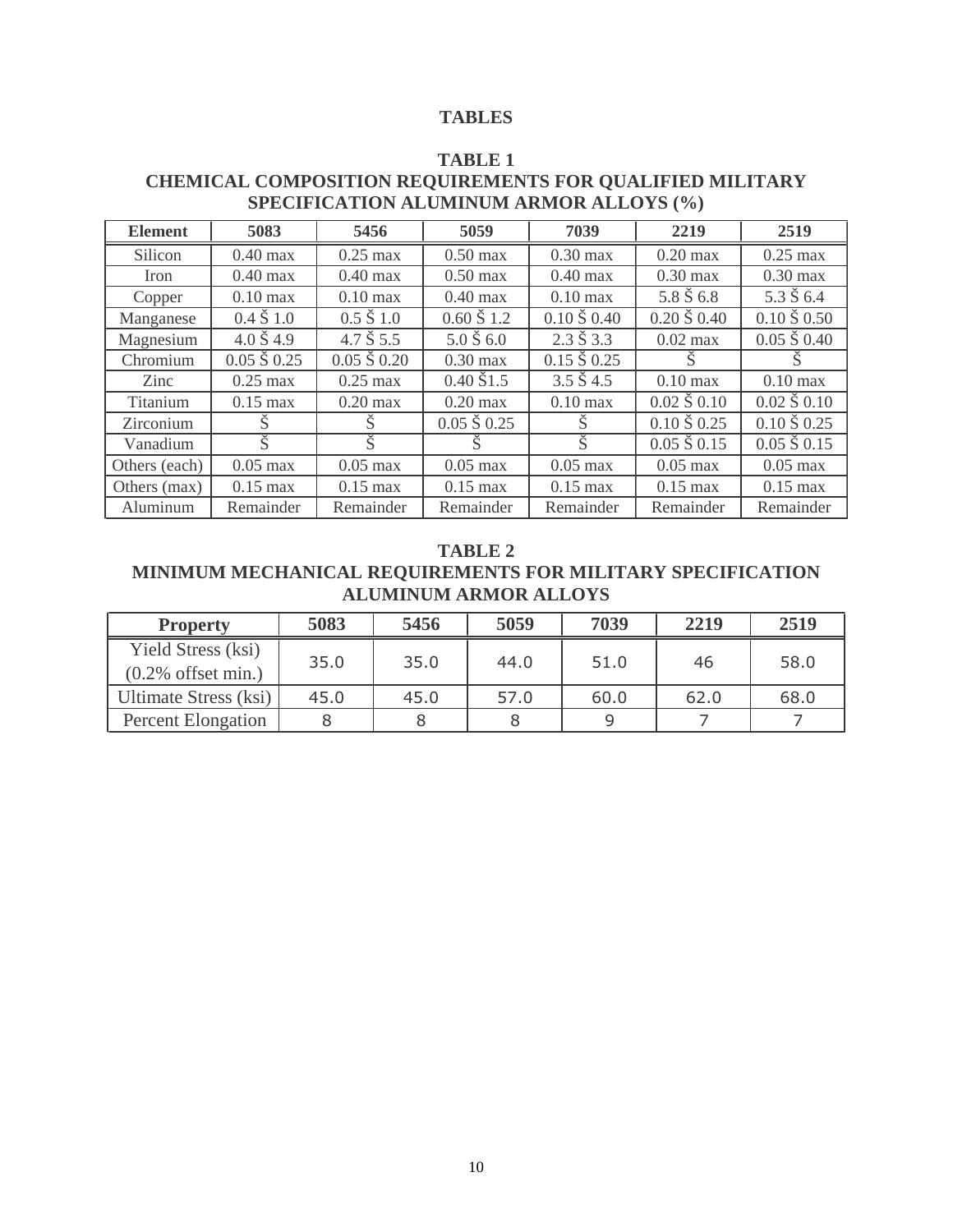#### **TABLES**

# **TABLE 1**

# **CHEMICAL COMPOSITION REQUIREMENTS FOR QUALIFIED MILITARY SPECIFICATION ALUMINUM ARMOR ALLOYS (%)**

| <b>Element</b> | 5083                     | 5456                 | 5059                   | 7039                   | 2219                          | 2519                          |
|----------------|--------------------------|----------------------|------------------------|------------------------|-------------------------------|-------------------------------|
| Silicon        | $0.40$ max               | $0.25$ max           | $0.50$ max             | $0.30$ max             | $0.20$ max                    | $0.25$ max                    |
| Iron           | $0.40$ max               | $0.40$ max           | $0.50$ max             | $0.40$ max             | $0.30$ max                    | $0.30$ max                    |
| Copper         | $0.10 \text{ max}$       | $0.10 \text{ max}$   | $0.40$ max             | $0.10 \text{ max}$     | $5.8 \text{ } S \text{ } 6.8$ | $5.3 \text{ } S \text{ } 6.4$ |
| Manganese      | $0.4 \text{ } S1.0$      | $0.5 \times 1.0$     | $0.60 \text{ } S1.2$   | $0.10\,$ Š $0.40$      | $0.20\,\text{S}$ 0.40         | $0.10\,\text{S}\,0.50$        |
| Magnesium      | $4.0 \text{ } S$ 4.9     | $4.7 \text{ } S 5.5$ | $5.0 \text{ \AA} 6.0$  | $2.3 \text{ } S3.3$    | $0.02$ max                    | $0.05 \times 0.40$            |
| Chromium       | $\overline{0.05}$ Š 0.25 | $0.05 \tS 0.20$      | $0.30 \text{ max}$     | $0.15\,\text{S}\,0.25$ |                               |                               |
| Zinc           | $0.25$ max               | $0.25$ max           | $0.40\,\text{S}1.5$    | $3.5 \text{ } S$ 4.5   | $0.10$ max                    | $0.10 \text{ max}$            |
| Titanium       | $0.15$ max               | $0.20$ max           | $0.20$ max             | $0.10$ max             | $0.02 \times 0.10$            | $0.02 \times 0.10$            |
| Zirconium      |                          |                      | $0.05\,\text{S}\,0.25$ | S                      | $0.10\,\text{S}\,0.25$        | $0.10\,\text{S}\,0.25$        |
| Vanadium       | Š                        | Š                    | S                      | Š.                     | $0.05\,\text{S}\,0.15$        | $0.05\,\text{S}\,0.15$        |
| Others (each)  | $0.05$ max               | $0.05$ max           | $0.05$ max             | $0.05$ max             | $0.05$ max                    | $0.05$ max                    |
| Others (max)   | $0.15$ max               | $0.15$ max           | $0.15 \text{ max}$     | $0.15$ max             | $0.15 \text{ max}$            | $0.15$ max                    |
| Aluminum       | Remainder                | Remainder            | Remainder              | Remainder              | Remainder                     | Remainder                     |

# **TABLE 2**

# **MINIMUM MECHANICAL REQUIREMENTS FOR MILITARY SPECIFICATION ALUMINUM ARMOR ALLOYS**

| <b>Property</b>           | 5083 | 5456 | 5059 | 7039 | 2219 | 2519 |  |
|---------------------------|------|------|------|------|------|------|--|
| Yield Stress (ksi)        | 35.0 | 35.0 | 44.0 | 51.0 | 46   | 58.0 |  |
| $(0.2\%$ offset min.)     |      |      |      |      |      |      |  |
| Ultimate Stress (ksi)     | 45.0 | 45.0 | 57.0 | 60.0 | 62.0 | 68.0 |  |
| <b>Percent Elongation</b> |      |      |      |      |      |      |  |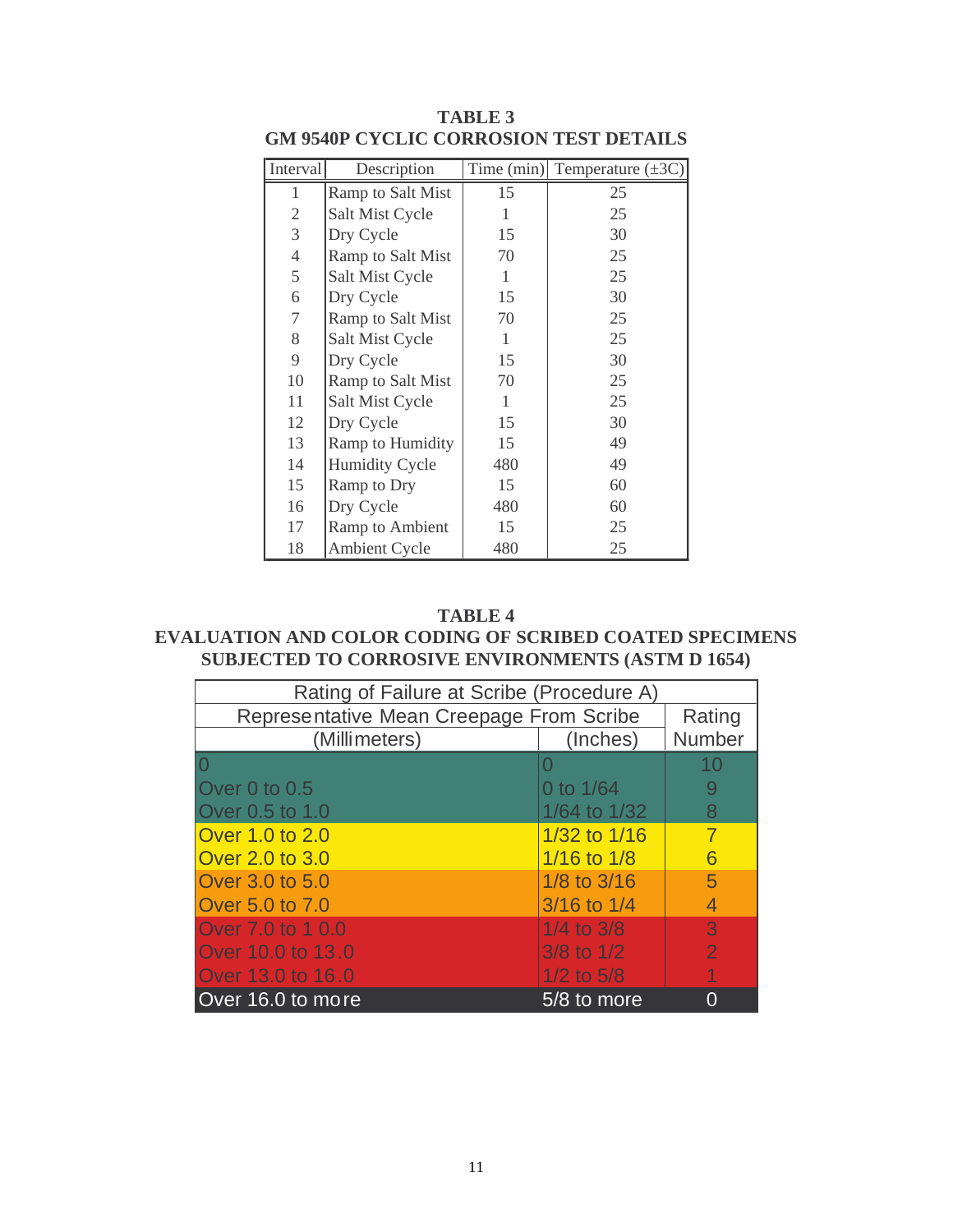| Interval       | Description           |     | Time (min) Temperature $(\pm 3C)$ |
|----------------|-----------------------|-----|-----------------------------------|
| 1              | Ramp to Salt Mist     | 15  | 25                                |
| $\mathfrak{2}$ | Salt Mist Cycle       | 1   | 25                                |
| 3              | Dry Cycle             | 15  | 30                                |
| $\overline{4}$ | Ramp to Salt Mist     | 70  | 25                                |
| $\mathfrak s$  | Salt Mist Cycle       | 1   | 25                                |
| 6              | Dry Cycle             | 15  | 30                                |
| 7              | Ramp to Salt Mist     | 70  | 25                                |
| 8              | Salt Mist Cycle       | 1   | 25                                |
| 9              | Dry Cycle             | 15  | 30                                |
| 10             | Ramp to Salt Mist     | 70  | 25                                |
| 11             | Salt Mist Cycle       | 1   | 25                                |
| 12             | Dry Cycle             | 15  | 30                                |
| 13             | Ramp to Humidity      | 15  | 49                                |
| 14             | <b>Humidity Cycle</b> | 480 | 49                                |
| 15             | Ramp to Dry           | 15  | 60                                |
| 16             | Dry Cycle             | 480 | 60                                |
| 17             | Ramp to Ambient       | 15  | 25                                |
| 18             | <b>Ambient Cycle</b>  | 480 | 25                                |

**TABLE 3 GM 9540P CYCLIC CORROSION TEST DETAILS**

#### **TABLE 4**

# **EVALUATION AND COLOR CODING OF SCRIBED COATED SPECIMENS SUBJECTED TO CORROSIVE ENVIRONMENTS (ASTM D 1654)**

| Rating of Failure at Scribe (Procedure A) |                 |                |  |  |  |  |
|-------------------------------------------|-----------------|----------------|--|--|--|--|
| Representative Mean Creepage From Scribe  | Rating          |                |  |  |  |  |
| (Millimeters)                             | (Inches)        | Number         |  |  |  |  |
|                                           |                 | 10             |  |  |  |  |
| Over 0 to 0.5                             | 0 to 1/64       |                |  |  |  |  |
| Over 0.5 to 1.0                           | 1/64 to $1/32$  | 8              |  |  |  |  |
| Over 1.0 to 2.0                           | 1/32 to $1/16$  | 7              |  |  |  |  |
| Over 2.0 to 3.0                           | $1/16$ to $1/8$ | Բ              |  |  |  |  |
| Over 3.0 to 5.0                           | $1/8$ to $3/16$ | 5              |  |  |  |  |
| Over 5.0 to 7.0                           | $3/16$ to $1/4$ | 4              |  |  |  |  |
| Over 7.0 to 1 0.0                         | $1/4$ to $3/8$  | 3              |  |  |  |  |
| Over 10.0 to 13.0                         | $3/8$ to $1/2$  | $\overline{2}$ |  |  |  |  |
| Over 13.0 to 16.0                         | $1/2$ to $5/8$  |                |  |  |  |  |
| Over 16.0 to more                         | 5/8 to more     |                |  |  |  |  |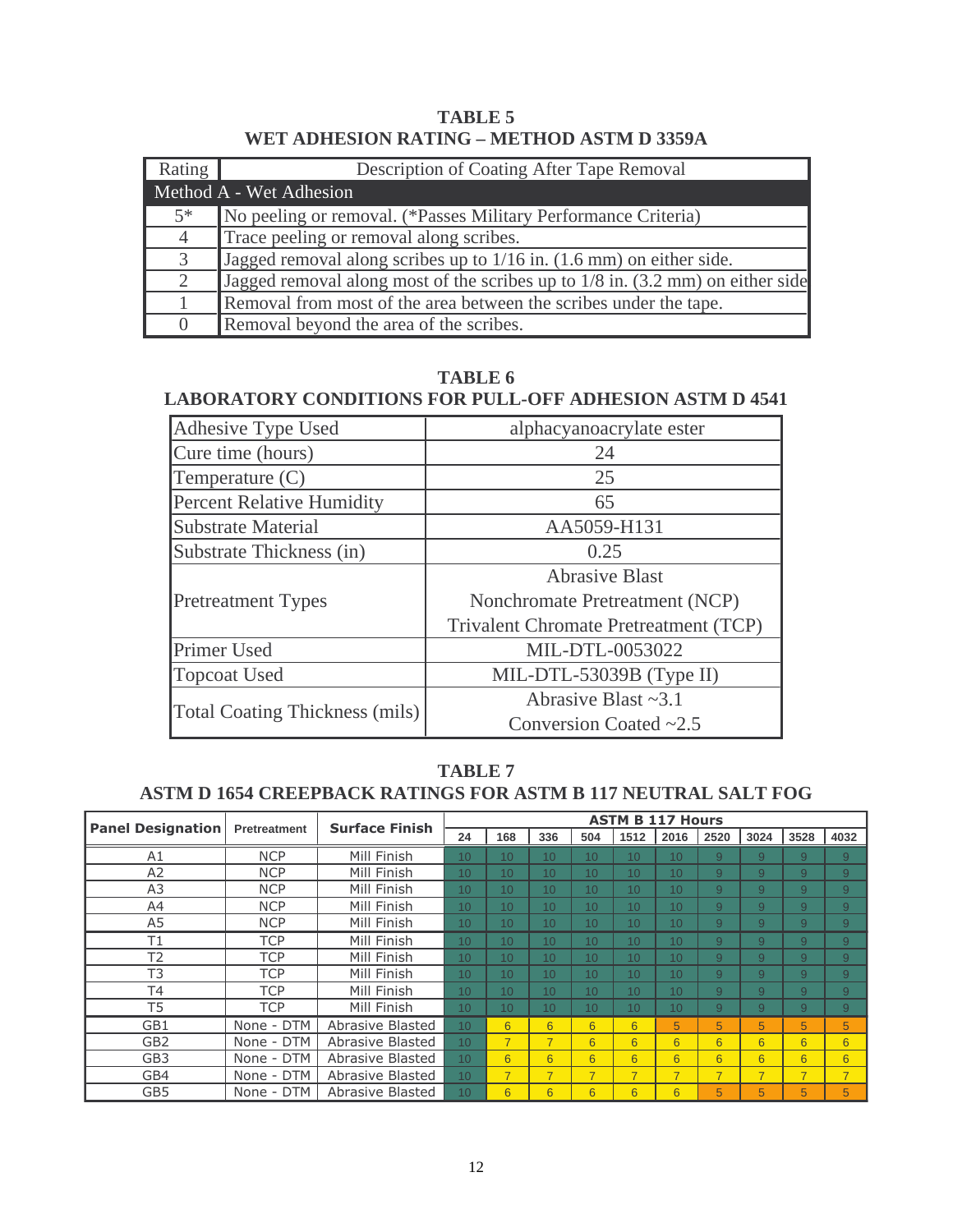**TABLE 5 WET ADHESION RATING – METHOD ASTM D 3359A** 

| Rating           | Description of Coating After Tape Removal                                                  |
|------------------|--------------------------------------------------------------------------------------------|
|                  | Method A - Wet Adhesion                                                                    |
| $5*$             | No peeling or removal. (*Passes Military Performance Criteria)                             |
| $\overline{4}$   | Trace peeling or removal along scribes.                                                    |
| 3                | Jagged removal along scribes up to 1/16 in. (1.6 mm) on either side.                       |
| 2                | Jagged removal along most of the scribes up to $1/8$ in. $(3.2 \text{ mm})$ on either side |
|                  | Removal from most of the area between the scribes under the tape.                          |
| $\left( \right)$ | Removal beyond the area of the scribes.                                                    |

**TABLE 6** 

# **LABORATORY CONDITIONS FOR PULL-OFF ADHESION ASTM D 4541**

| Adhesive Type Used                    | alphacyanoacrylate ester              |  |  |  |
|---------------------------------------|---------------------------------------|--|--|--|
| Cure time (hours)                     | 24                                    |  |  |  |
| Temperature $(C)$                     | 25                                    |  |  |  |
| <b>Percent Relative Humidity</b>      | 65                                    |  |  |  |
| <b>Substrate Material</b>             | AA5059-H131                           |  |  |  |
| Substrate Thickness (in)              | 0.25                                  |  |  |  |
|                                       | <b>Abrasive Blast</b>                 |  |  |  |
| <b>Pretreatment Types</b>             | Nonchromate Pretreatment (NCP)        |  |  |  |
|                                       | Trivalent Chromate Pretreatment (TCP) |  |  |  |
| Primer Used                           | MIL-DTL-0053022                       |  |  |  |
| <b>Topcoat Used</b>                   | MIL-DTL-53039B (Type II)              |  |  |  |
|                                       | Abrasive Blast $\sim$ 3.1             |  |  |  |
| <b>Total Coating Thickness (mils)</b> | Conversion Coated $\sim$ 2.5          |  |  |  |

## **TABLE 7 ASTM D 1654 CREEPBACK RATINGS FOR ASTM B 117 NEUTRAL SALT FOG**

| <b>Panel Designation</b> |                     | <b>Surface Finish</b> |                  |                 |                 |                |                 | <b>ASTM B 117 Hours</b> |                 |                |                 |                |
|--------------------------|---------------------|-----------------------|------------------|-----------------|-----------------|----------------|-----------------|-------------------------|-----------------|----------------|-----------------|----------------|
|                          | <b>Pretreatment</b> |                       | 24               | 168             | 336             | 504            | 1512            | 2016                    | 2520            | 3024           | 3528            | 4032           |
| A1                       | <b>NCP</b>          | Mill Finish           | 10 <sup>1</sup>  | 10 <sup>1</sup> | 10 <sup>1</sup> | 10             | 10              | 10                      | 9               | 9              | 9               | 9              |
| A2                       | <b>NCP</b>          | Mill Finish           | 10 <sup>1</sup>  | 10 <sup>1</sup> | 10 <sup>1</sup> | 10             | 10              | 10 <sup>1</sup>         | 9               | 9              | 9               | 9              |
| A <sub>3</sub>           | <b>NCP</b>          | Mill Finish           | 10 <sup>10</sup> | 10 <sup>1</sup> | 10 <sup>1</sup> | 10             | 10              | 10 <sup>1</sup>         | 9               | 9              | 9               | 9              |
| A4                       | <b>NCP</b>          | Mill Finish           | 10 <sup>°</sup>  | 10 <sup>1</sup> | 10 <sup>1</sup> | 10             | 10              | 10 <sup>°</sup>         | 9               | 9              | 9               | 9              |
| A5                       | <b>NCP</b>          | Mill Finish           | 10 <sup>1</sup>  | 10 <sup>1</sup> | 10 <sup>1</sup> | 10             | 10              | 10 <sup>1</sup>         | 9               | 9              | 9               | 9              |
| T1                       | <b>TCP</b>          | Mill Finish           | 10 <sup>1</sup>  | 10 <sup>1</sup> | 10              | 10             | 10              | 10                      | 9               | 9              | 9               | 9              |
| T <sub>2</sub>           | <b>TCP</b>          | Mill Finish           | 10 <sup>10</sup> | 10 <sup>1</sup> | 10 <sup>1</sup> | 10             | 10              | 10 <sup>1</sup>         | 9               | 9              | 9               | 9              |
| T <sub>3</sub>           | <b>TCP</b>          | Mill Finish           | 10 <sup>10</sup> | 10 <sup>1</sup> | 10 <sup>1</sup> | 10             | 10              | 10                      | 9               | 9              | 9               | 9              |
| <b>T4</b>                | <b>TCP</b>          | Mill Finish           | 10 <sup>°</sup>  | 10 <sup>1</sup> | 10 <sup>1</sup> | 10             | 10              | 10                      | 9               | 9              | 9               | 9              |
| T <sub>5</sub>           | <b>TCP</b>          | Mill Finish           | 10 <sup>1</sup>  | 10 <sup>1</sup> | 10 <sup>1</sup> | 10             | 10              | 10                      | 9               | 9              | 9               | 9              |
| GB1                      | None - DTM          | Abrasive Blasted      | 10               | 6               | $6\overline{6}$ | 6              | $6\overline{6}$ | 5                       | 5               | 5              | 5               | 5              |
| GB <sub>2</sub>          | None - DTM          | Abrasive Blasted      | 10 <sup>10</sup> | $\overline{7}$  | $\overline{7}$  | 6              | 6               | 6                       | 6               | 6              | 6               | 6              |
| GB <sub>3</sub>          | None - DTM          | Abrasive Blasted      | 10 <sup>10</sup> | 6               | $6\overline{6}$ | 6              | $6\overline{6}$ | 6                       | $6\overline{6}$ | 6              | $6\overline{6}$ | 6              |
| GB4                      | None - DTM          | Abrasive Blasted      | 10 <sup>10</sup> | $\overline{7}$  | $\overline{7}$  | $\overline{7}$ | $\overline{7}$  | $\overline{7}$          | $\overline{7}$  | $\overline{7}$ | $\overline{7}$  | $\overline{7}$ |
| GB5                      | None - DTM          | Abrasive Blasted      | 10               | 6               | 6               | 6              | 6               | 6                       | 5               | 5              | 5               | 5              |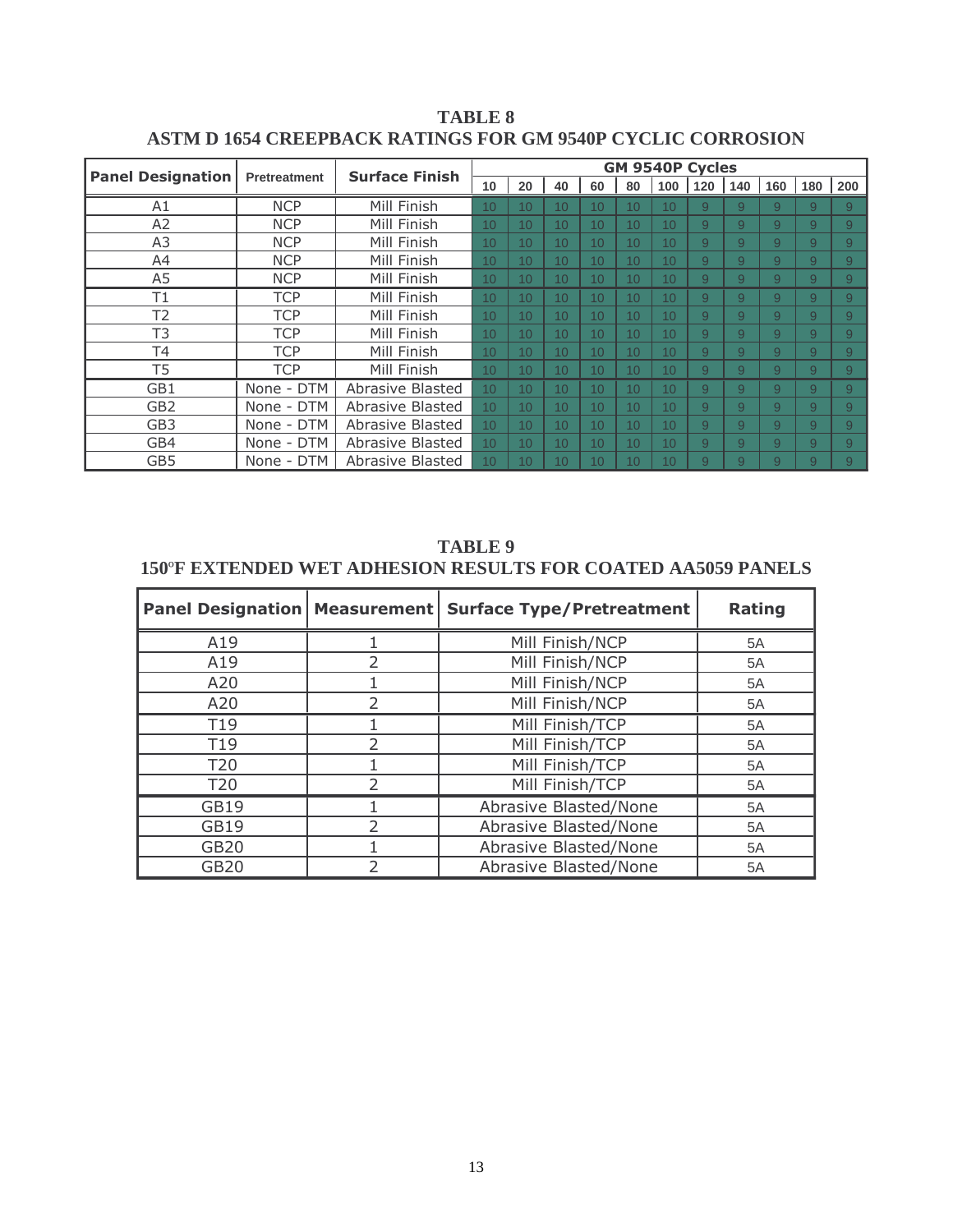|                          |              | <b>GM 9540P Cycles</b> |    |    |                 |                 |                 |     |     |     |                |     |     |
|--------------------------|--------------|------------------------|----|----|-----------------|-----------------|-----------------|-----|-----|-----|----------------|-----|-----|
| <b>Panel Designation</b> | Pretreatment | <b>Surface Finish</b>  | 10 | 20 | 40              | 60              | 80              | 100 | 120 | 140 | 160            | 180 | 200 |
| A1                       | <b>NCP</b>   | Mill Finish            | 10 | 10 | 10 <sup>1</sup> | 10              | 10              | 10  | 9   | 9   | 9              | 9   | 9   |
| A2                       | <b>NCP</b>   | Mill Finish            | 10 | 10 | 10              | 10              | 10              | 10  | 9   | 9   | 9              | 9   | 9   |
| A3                       | <b>NCP</b>   | Mill Finish            | 10 | 10 | 10              | 10              | 10              | 10  | 9   | 9   | 9              | 9   | 9   |
| A4                       | <b>NCP</b>   | Mill Finish            | 10 | 10 | 10              | 10              | 10              | 10  | 9   | 9   | 9              | 9   | 9   |
| A5                       | <b>NCP</b>   | Mill Finish            | 10 | 10 | 10              | 10              | 10              | 10  | 9   | 9   | 9              | 9   | 9   |
| T1                       | <b>TCP</b>   | Mill Finish            | 10 | 10 | 10 <sup>°</sup> | 10 <sup>1</sup> | 10              | 10  | 9   | 9   | 9              | 9   | 9   |
| T <sub>2</sub>           | <b>TCP</b>   | Mill Finish            | 10 | 10 | 10 <sup>°</sup> | 10 <sup>°</sup> | 10              | 10  | 9   | 9   | 9              | 9   | 9   |
| T3                       | <b>TCP</b>   | Mill Finish            | 10 | 10 | 10              | 10              | 10              | 10  | 9   | 9   | 9              | 9   | 9   |
| Τ4                       | <b>TCP</b>   | Mill Finish            | 10 | 10 | 10              | 10              | 10              | 10  | 9   | 9   | 9              | 9   | 9   |
| T5                       | <b>TCP</b>   | Mill Finish            | 10 | 10 | 10              | 10              | 10              | 10  | 9   | 9   | 9              | 9   | 9   |
| GB1                      | None - DTM   | Abrasive Blasted       | 10 | 10 | 10              | 10              | 10              | 10  | 9   | 9   | $\overline{9}$ | 9   | 9   |
| GB <sub>2</sub>          | None - DTM   | Abrasive Blasted       | 10 | 10 | 10 <sup>°</sup> | 10              | 10              | 10  | 9   | 9   | 9              | 9   | 9   |
| GB <sub>3</sub>          | None - DTM   | Abrasive Blasted       | 10 | 10 | 10              | 10              | 10              | 10  | 9   | 9   | 9              | 9   | 9   |
| GB4                      | None - DTM   | Abrasive Blasted       | 10 | 10 | 10 <sup>°</sup> | 10 <sup>1</sup> | 10 <sup>1</sup> | 10  | 9   | 9   | 9              | 9   | 9   |
| GB5                      | None - DTM   | Abrasive Blasted       | 10 | 10 | 10              | 10              | 10              | 10  | 9   | 9   | 9              | 9   | 9   |

**TABLE 8 ASTM D 1654 CREEPBACK RATINGS FOR GM 9540P CYCLIC CORROSION** 

**TABLE 9 150**º**F EXTENDED WET ADHESION RESULTS FOR COATED AA5059 PANELS** 

| <b>Panel Designation   Measurement  </b> |                | <b>Surface Type/Pretreatment</b> | <b>Rating</b> |
|------------------------------------------|----------------|----------------------------------|---------------|
| A19                                      |                | Mill Finish/NCP                  | 5A            |
| A19                                      | $\mathcal{P}$  | Mill Finish/NCP                  | 5A            |
| A20                                      |                | Mill Finish/NCP                  | 5A            |
| A20                                      | $\mathfrak{D}$ | Mill Finish/NCP                  | 5A            |
| T19                                      |                | Mill Finish/TCP                  | 5A            |
| T <sub>19</sub>                          | $\mathcal{P}$  | Mill Finish/TCP                  | 5A            |
| T <sub>20</sub>                          |                | Mill Finish/TCP                  | 5A            |
| <b>T20</b>                               | $\mathcal{P}$  | Mill Finish/TCP                  | 5A            |
| <b>GB19</b>                              |                | Abrasive Blasted/None            | 5A            |
| GB19                                     | $\mathcal{P}$  | Abrasive Blasted/None            | 5A            |
| <b>GB20</b>                              |                | Abrasive Blasted/None            | 5A            |
| <b>GB20</b>                              | フ              | Abrasive Blasted/None            | 5A            |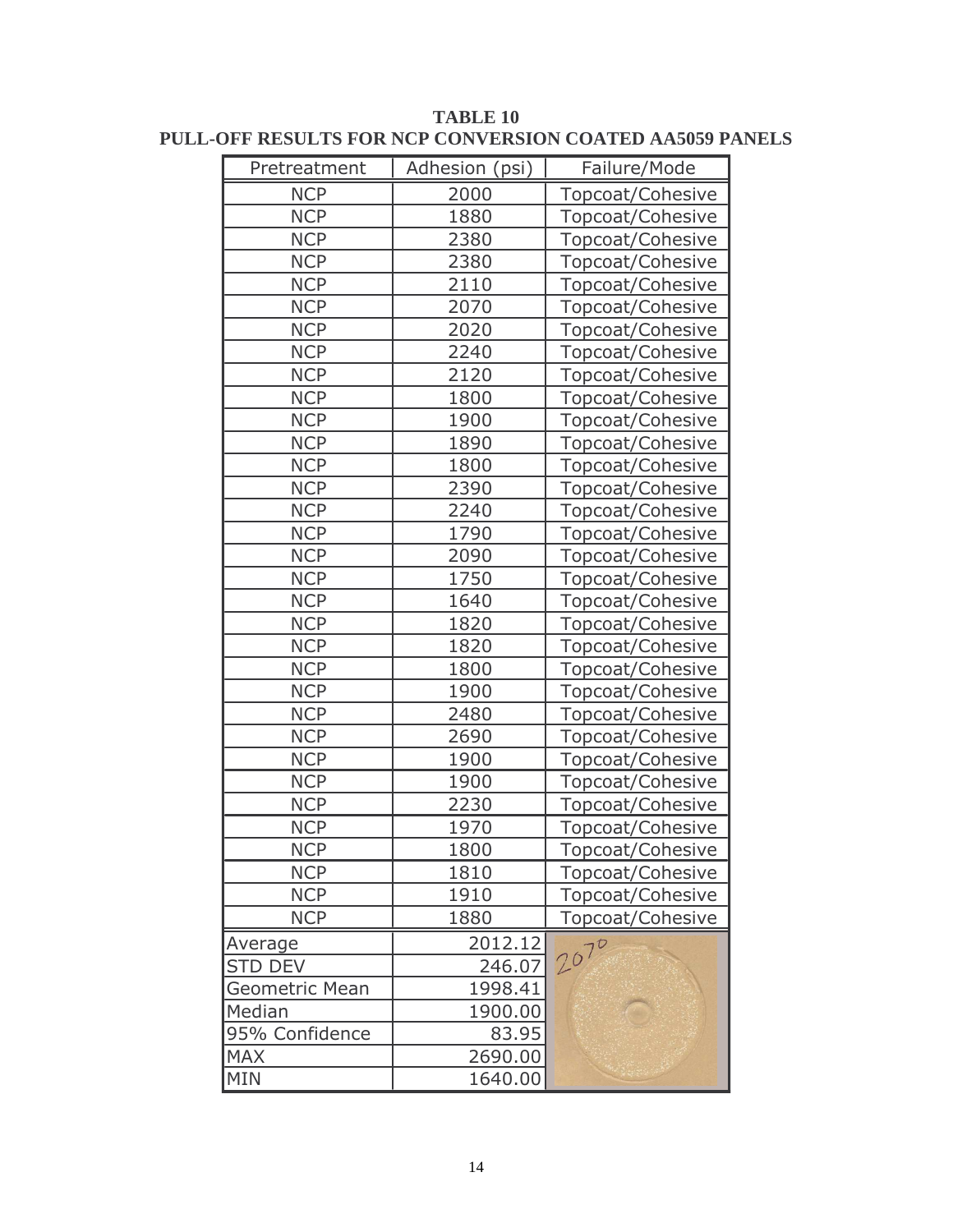| Pretreatment   | Adhesion (psi) | Failure/Mode     |
|----------------|----------------|------------------|
| <b>NCP</b>     | 2000           | Topcoat/Cohesive |
| <b>NCP</b>     | 1880           | Topcoat/Cohesive |
| <b>NCP</b>     | 2380           | Topcoat/Cohesive |
| <b>NCP</b>     | 2380           | Topcoat/Cohesive |
| <b>NCP</b>     | 2110           | Topcoat/Cohesive |
| <b>NCP</b>     | 2070           | Topcoat/Cohesive |
| <b>NCP</b>     | 2020           | Topcoat/Cohesive |
| <b>NCP</b>     | 2240           | Topcoat/Cohesive |
| <b>NCP</b>     | 2120           | Topcoat/Cohesive |
| <b>NCP</b>     | 1800           | Topcoat/Cohesive |
| <b>NCP</b>     | 1900           | Topcoat/Cohesive |
| <b>NCP</b>     | 1890           | Topcoat/Cohesive |
| <b>NCP</b>     | 1800           | Topcoat/Cohesive |
| <b>NCP</b>     | 2390           | Topcoat/Cohesive |
| <b>NCP</b>     | 2240           | Topcoat/Cohesive |
| <b>NCP</b>     | 1790           | Topcoat/Cohesive |
| <b>NCP</b>     | 2090           | Topcoat/Cohesive |
| <b>NCP</b>     | 1750           | Topcoat/Cohesive |
| <b>NCP</b>     | 1640           | Topcoat/Cohesive |
| <b>NCP</b>     | 1820           | Topcoat/Cohesive |
| <b>NCP</b>     | 1820           | Topcoat/Cohesive |
| <b>NCP</b>     | 1800           | Topcoat/Cohesive |
| <b>NCP</b>     | 1900           | Topcoat/Cohesive |
| <b>NCP</b>     | 2480           | Topcoat/Cohesive |
| <b>NCP</b>     | 2690           | Topcoat/Cohesive |
| <b>NCP</b>     | 1900           | Topcoat/Cohesive |
| <b>NCP</b>     | 1900           | Topcoat/Cohesive |
| <b>NCP</b>     | 2230           | Topcoat/Cohesive |
| <b>NCP</b>     | 1970           | Topcoat/Cohesive |
| <b>NCP</b>     | 1800           | Topcoat/Cohesive |
| <b>NCP</b>     | 1810           | Topcoat/Cohesive |
| <b>NCP</b>     | 1910           | Topcoat/Cohesive |
| <b>NCP</b>     | 1880           | Topcoat/Cohesive |
| Average        | 2012.12        | 2070             |
| <b>STD DEV</b> | 246.07         |                  |
| Geometric Mean | 1998.41        |                  |
| Median         | 1900.00        |                  |
| 95% Confidence | 83.95          |                  |
| <b>MAX</b>     | 2690.00        |                  |
| MIN            | 1640.00        |                  |

## **TABLE 10** PULL-OFF RESULTS FOR NCP CONVERSION COATED AA5059 PANELS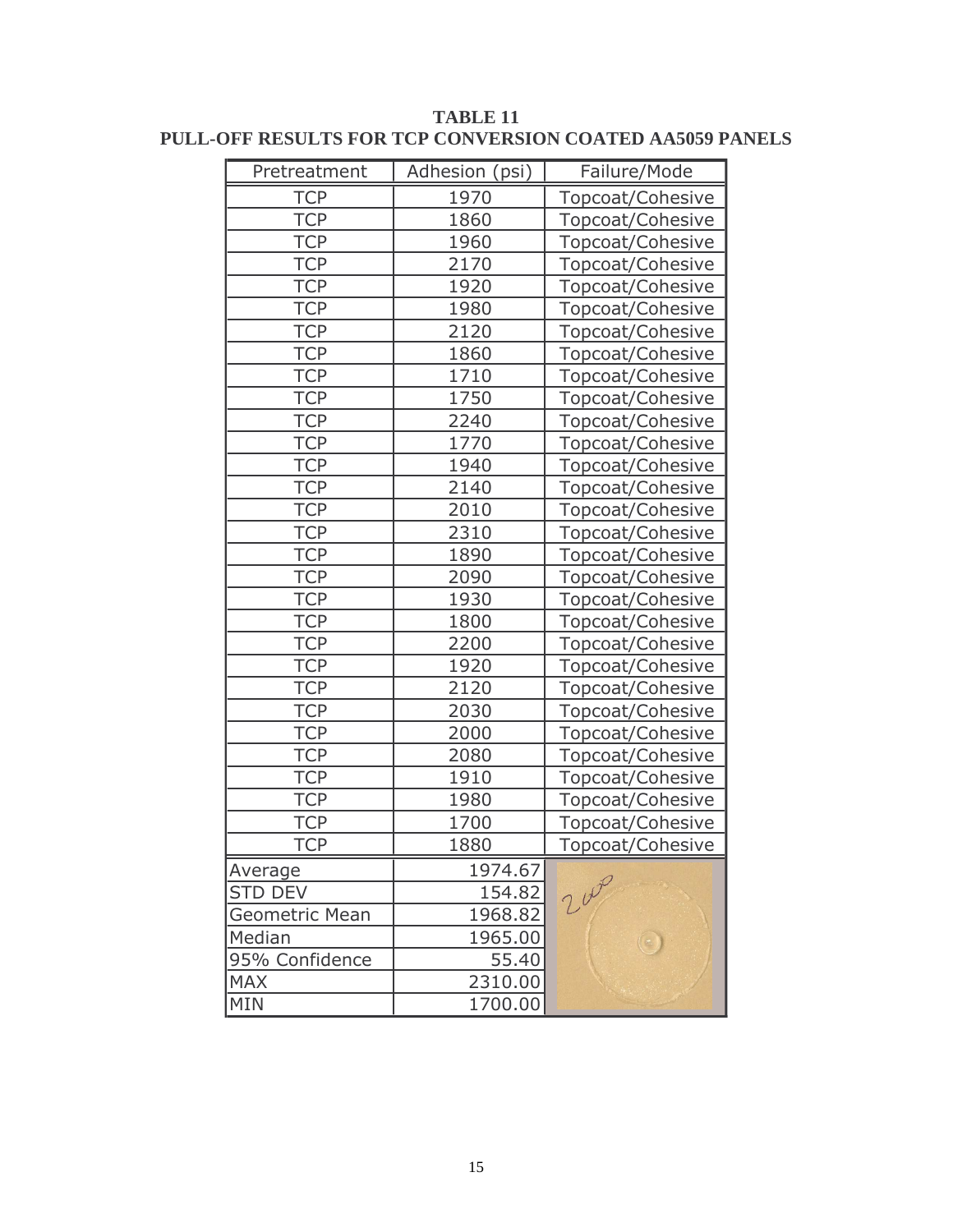| Pretreatment   | Adhesion (psi) | Failure/Mode     |
|----------------|----------------|------------------|
| <b>TCP</b>     | 1970           | Topcoat/Cohesive |
| <b>TCP</b>     | 1860           | Topcoat/Cohesive |
| <b>TCP</b>     | 1960           | Topcoat/Cohesive |
| <b>TCP</b>     | 2170           | Topcoat/Cohesive |
| <b>TCP</b>     | 1920           | Topcoat/Cohesive |
| <b>TCP</b>     | 1980           | Topcoat/Cohesive |
| <b>TCP</b>     | 2120           | Topcoat/Cohesive |
| <b>TCP</b>     | 1860           | Topcoat/Cohesive |
| <b>TCP</b>     | 1710           | Topcoat/Cohesive |
| <b>TCP</b>     | 1750           | Topcoat/Cohesive |
| <b>TCP</b>     | 2240           | Topcoat/Cohesive |
| <b>TCP</b>     | 1770           | Topcoat/Cohesive |
| <b>TCP</b>     | 1940           | Topcoat/Cohesive |
| <b>TCP</b>     | 2140           | Topcoat/Cohesive |
| <b>TCP</b>     | 2010           | Topcoat/Cohesive |
| <b>TCP</b>     | 2310           | Topcoat/Cohesive |
| <b>TCP</b>     | 1890           | Topcoat/Cohesive |
| <b>TCP</b>     | 2090           | Topcoat/Cohesive |
| <b>TCP</b>     | 1930           | Topcoat/Cohesive |
| <b>TCP</b>     | 1800           | Topcoat/Cohesive |
| <b>TCP</b>     | 2200           | Topcoat/Cohesive |
| <b>TCP</b>     | 1920           | Topcoat/Cohesive |
| <b>TCP</b>     | 2120           | Topcoat/Cohesive |
| <b>TCP</b>     | 2030           | Topcoat/Cohesive |
| <b>TCP</b>     | 2000           | Topcoat/Cohesive |
| <b>TCP</b>     | 2080           | Topcoat/Cohesive |
| <b>TCP</b>     | 1910           | Topcoat/Cohesive |
| <b>TCP</b>     | 1980           | Topcoat/Cohesive |
| <b>TCP</b>     | 1700           | Topcoat/Cohesive |
| <b>TCP</b>     | 1880           | Topcoat/Cohesive |
| Average        | 1974.67        |                  |
| <b>STD DEV</b> | 154.82         | 200              |
| Geometric Mean | 1968.82        |                  |
| Median         | 1965.00        |                  |
| 95% Confidence | 55.40          |                  |
| <b>MAX</b>     | 2310.00        |                  |
| MIN            | 1700.00        |                  |

**TABLE 11** PULL-OFF RESULTS FOR TCP CONVERSION COATED AA5059 PANELS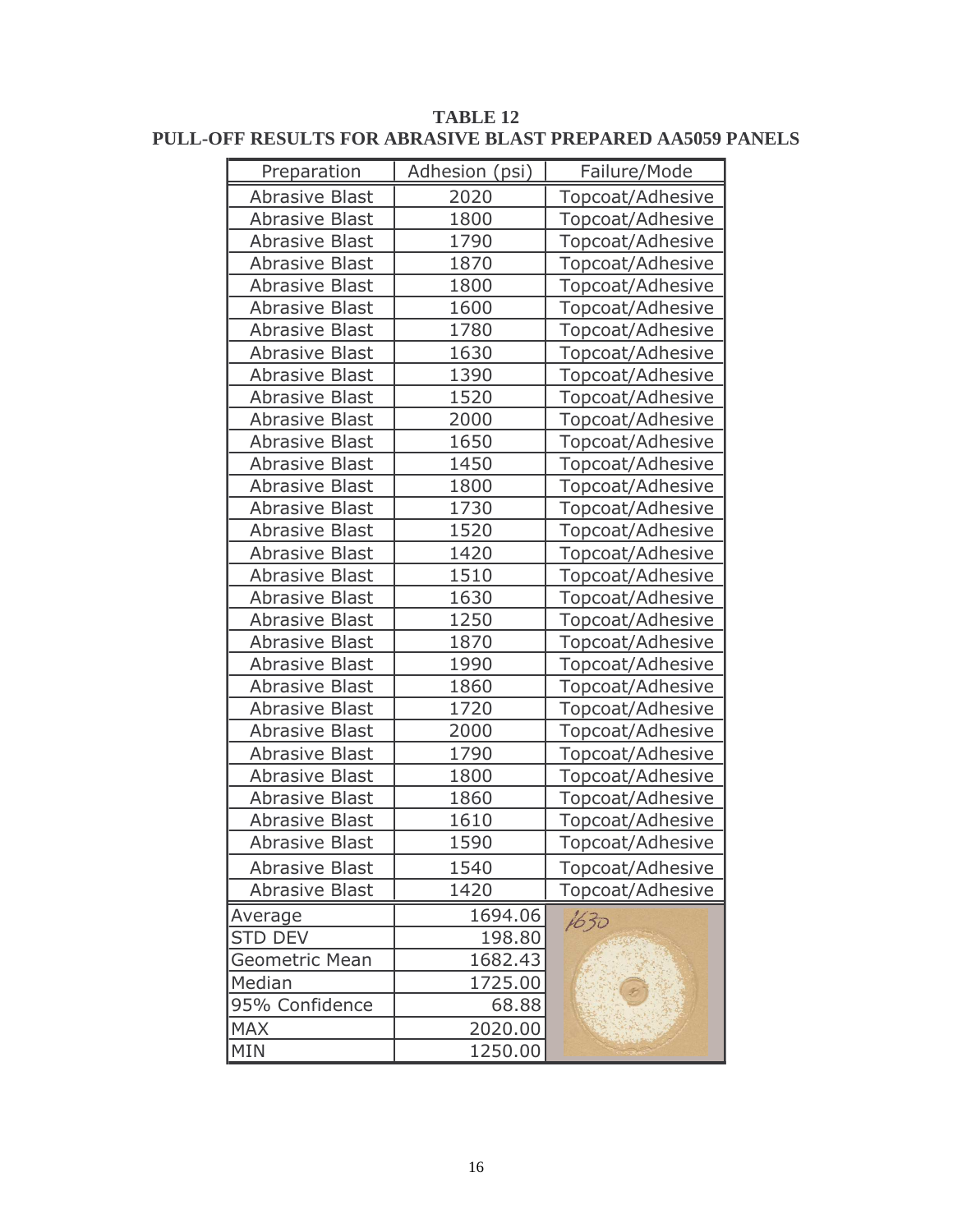| Preparation           | Adhesion (psi) | Failure/Mode     |
|-----------------------|----------------|------------------|
| <b>Abrasive Blast</b> | 2020           | Topcoat/Adhesive |
| <b>Abrasive Blast</b> | 1800           | Topcoat/Adhesive |
| <b>Abrasive Blast</b> | 1790           | Topcoat/Adhesive |
| <b>Abrasive Blast</b> | 1870           | Topcoat/Adhesive |
| <b>Abrasive Blast</b> | 1800           | Topcoat/Adhesive |
| <b>Abrasive Blast</b> | 1600           | Topcoat/Adhesive |
| <b>Abrasive Blast</b> | 1780           | Topcoat/Adhesive |
| <b>Abrasive Blast</b> | 1630           | Topcoat/Adhesive |
| <b>Abrasive Blast</b> | 1390           | Topcoat/Adhesive |
| <b>Abrasive Blast</b> | 1520           | Topcoat/Adhesive |
| <b>Abrasive Blast</b> | 2000           | Topcoat/Adhesive |
| <b>Abrasive Blast</b> | 1650           | Topcoat/Adhesive |
| <b>Abrasive Blast</b> | 1450           | Topcoat/Adhesive |
| <b>Abrasive Blast</b> | 1800           | Topcoat/Adhesive |
| <b>Abrasive Blast</b> | 1730           | Topcoat/Adhesive |
| <b>Abrasive Blast</b> | 1520           | Topcoat/Adhesive |
| <b>Abrasive Blast</b> | 1420           | Topcoat/Adhesive |
| <b>Abrasive Blast</b> | 1510           | Topcoat/Adhesive |
| <b>Abrasive Blast</b> | 1630           | Topcoat/Adhesive |
| <b>Abrasive Blast</b> | 1250           | Topcoat/Adhesive |
| <b>Abrasive Blast</b> | 1870           | Topcoat/Adhesive |
| <b>Abrasive Blast</b> | 1990           | Topcoat/Adhesive |
| <b>Abrasive Blast</b> | 1860           | Topcoat/Adhesive |
| <b>Abrasive Blast</b> | 1720           | Topcoat/Adhesive |
| <b>Abrasive Blast</b> | 2000           | Topcoat/Adhesive |
| <b>Abrasive Blast</b> | 1790           | Topcoat/Adhesive |
| <b>Abrasive Blast</b> | 1800           | Topcoat/Adhesive |
| <b>Abrasive Blast</b> | 1860           | Topcoat/Adhesive |
| <b>Abrasive Blast</b> | 1610           | Topcoat/Adhesive |
| <b>Abrasive Blast</b> | 1590           | Topcoat/Adhesive |
| <b>Abrasive Blast</b> | 1540           | Topcoat/Adhesive |
| <b>Abrasive Blast</b> | 1420           | Topcoat/Adhesive |
| Average               | 1694.06        | 1630             |
| <b>STD DEV</b>        | 198.80         |                  |
| Geometric Mean        | 1682.43        |                  |
| Median                | 1725.00        |                  |
| 95% Confidence        | 68.88          |                  |
| <b>MAX</b>            | 2020.00        |                  |
| <b>MIN</b>            | 1250.00        |                  |

**TABLE 12** PULL-OFF RESULTS FOR ABRASIVE BLAST PREPARED AA5059 PANELS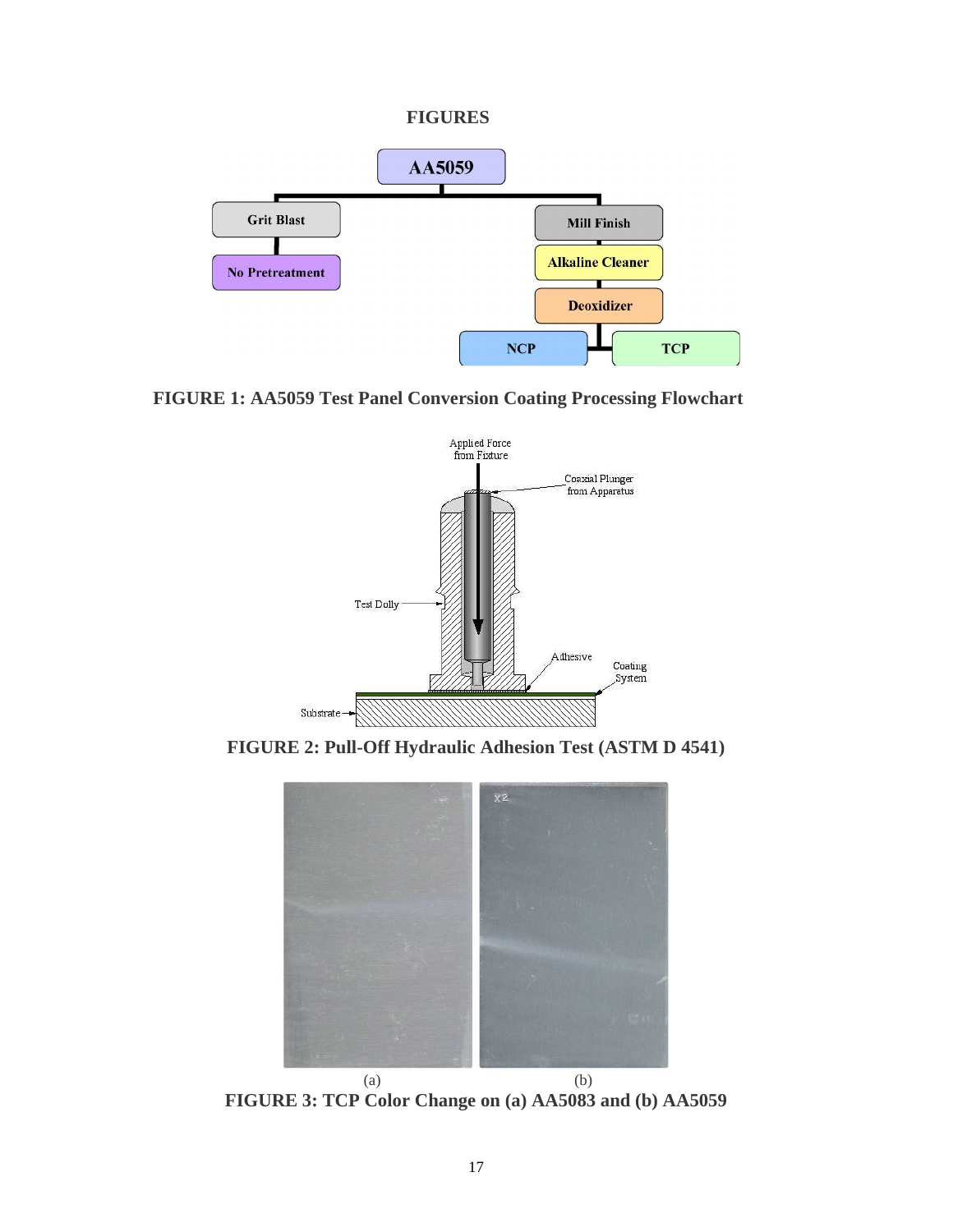#### **FIGURES**



# **FIGURE 1: AA5059 Test Panel Conversion Coating Processing Flowchart**



**FIGURE 2: Pull-Off Hydraulic Adhesion Test (ASTM D 4541)** 



 $(a)$  (b) **FIGURE 3: TCP Color Change on (a) AA5083 and (b) AA5059**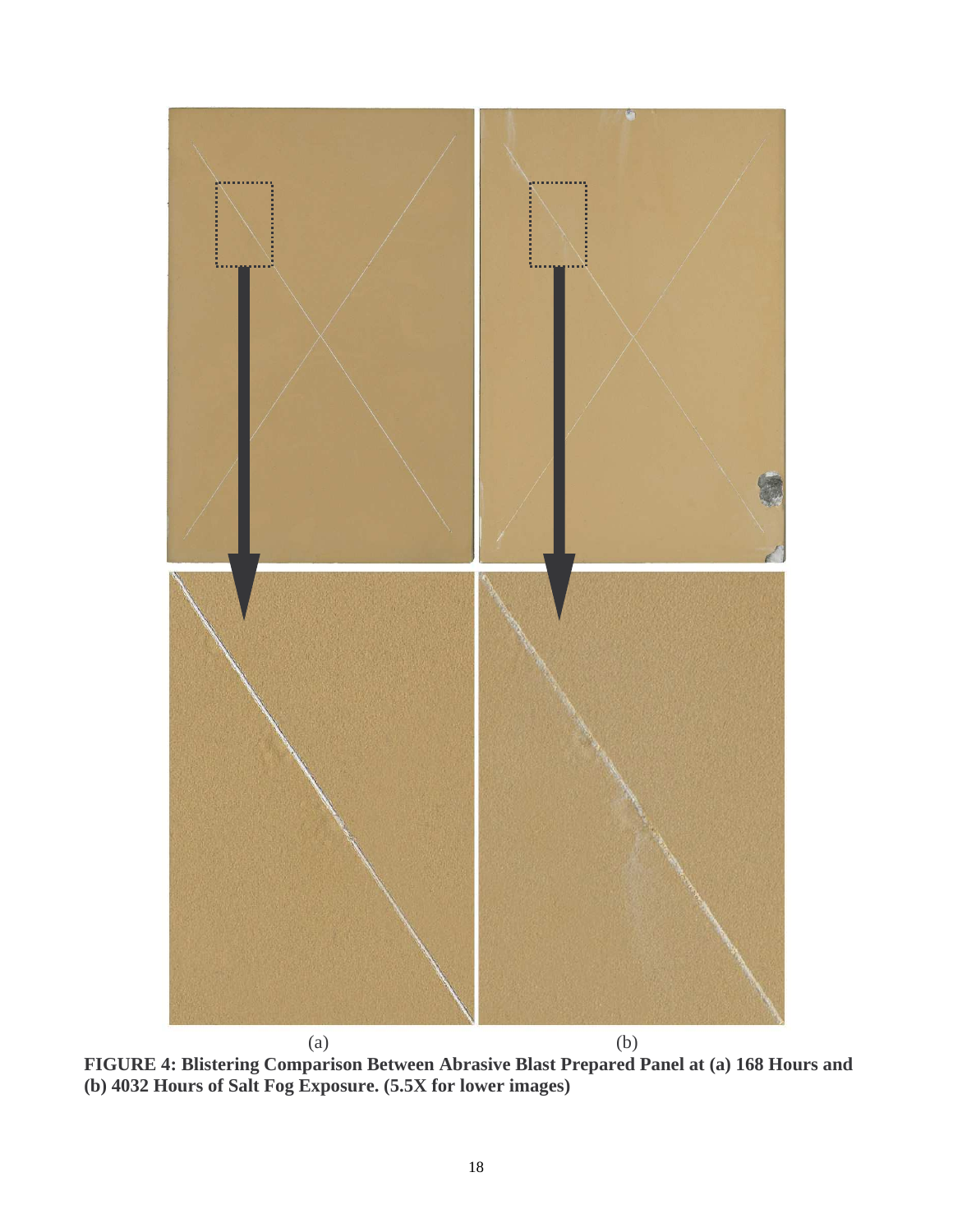

**FIGURE 4: Blistering Comparison Between Abrasive Blast Prepared Panel at (a) 168 Hours and (b) 4032 Hours of Salt Fog Exposure. (5.5X for lower images)**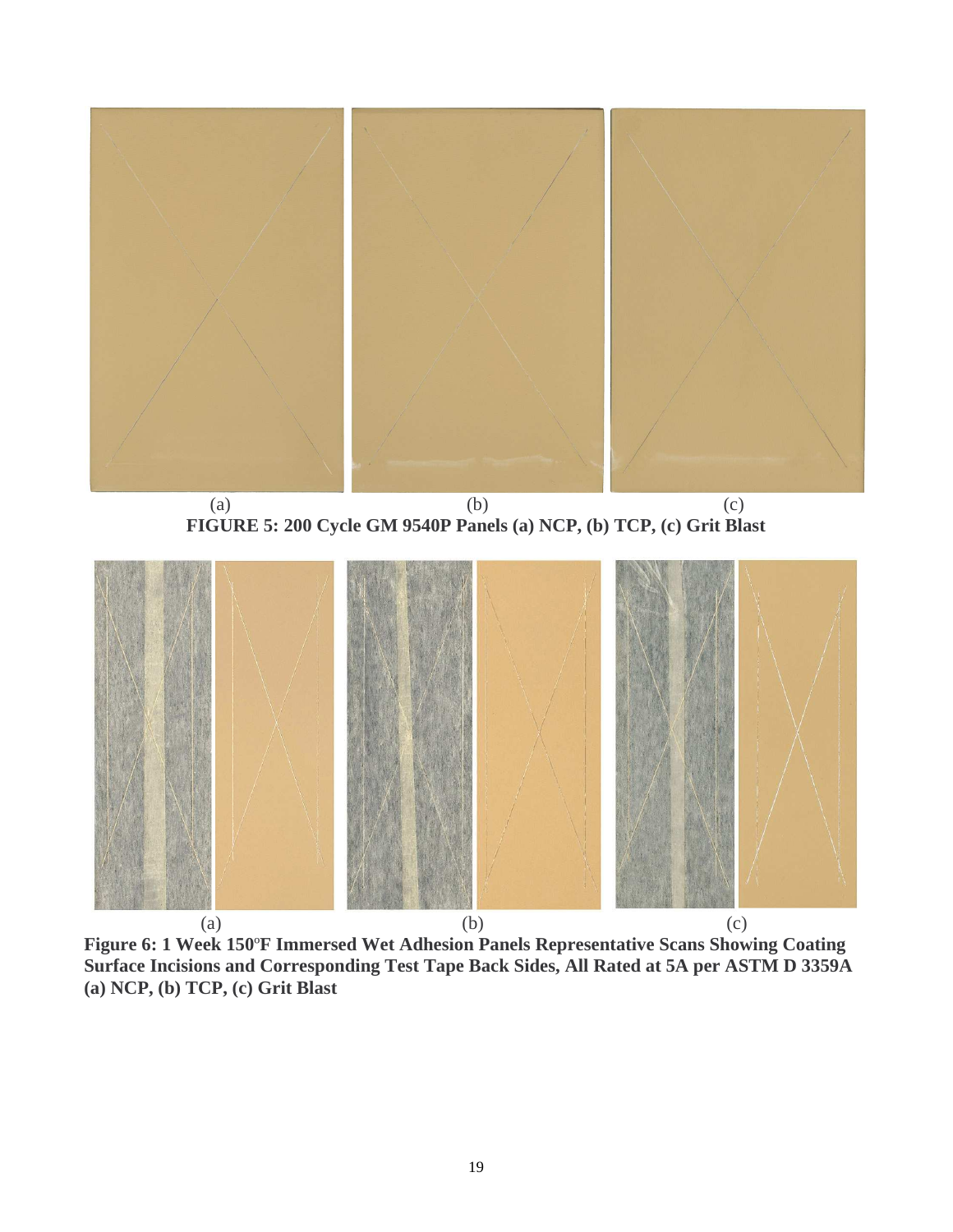

(a)  $(b)$  (c) **FIGURE 5: 200 Cycle GM 9540P Panels (a) NCP, (b) TCP, (c) Grit Blast** 



(a)  $(b)$  (c) **Figure 6: 1 Week 150**º**F Immersed Wet Adhesion Panels Representative Scans Showing Coating Surface Incisions and Corresponding Test Tape Back Sides, All Rated at 5A per ASTM D 3359A (a) NCP, (b) TCP, (c) Grit Blast**